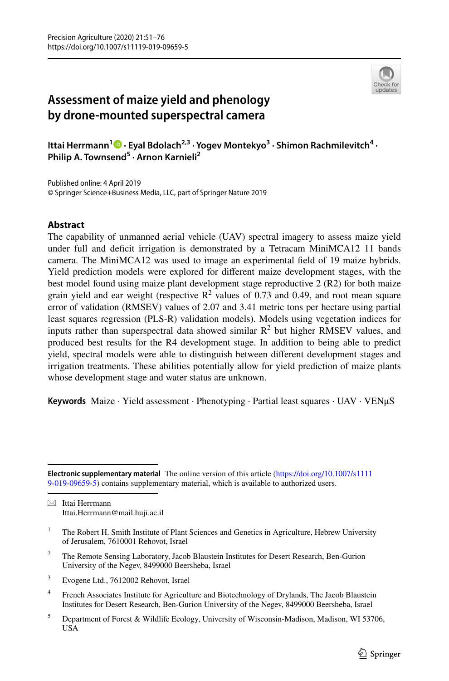

# **Assessment of maize yield and phenology by drone‑mounted superspectral camera**

Ittai Herrmann<sup>[1](http://orcid.org/0000-0003-1136-1883)</sup> • Eyal Bdolach<sup>2,3</sup> · Yogev Montekyo<sup>3</sup> · Shimon Rachmilevitch<sup>4</sup> · **Philip A. Townsend<sup>5</sup> · Arnon Karnieli2**

Published online: 4 April 2019 © Springer Science+Business Media, LLC, part of Springer Nature 2019

## **Abstract**

The capability of unmanned aerial vehicle (UAV) spectral imagery to assess maize yield under full and deficit irrigation is demonstrated by a Tetracam MiniMCA12 11 bands camera. The MiniMCA12 was used to image an experimental feld of 19 maize hybrids. Yield prediction models were explored for diferent maize development stages, with the best model found using maize plant development stage reproductive 2 (R2) for both maize grain yield and ear weight (respective  $\mathbb{R}^2$  values of 0.73 and 0.49, and root mean square error of validation (RMSEV) values of 2.07 and 3.41 metric tons per hectare using partial least squares regression (PLS-R) validation models). Models using vegetation indices for inputs rather than superspectral data showed similar  $\mathbb{R}^2$  but higher RMSEV values, and produced best results for the R4 development stage. In addition to being able to predict yield, spectral models were able to distinguish between diferent development stages and irrigation treatments. These abilities potentially allow for yield prediction of maize plants whose development stage and water status are unknown.

**Keywords** Maize · Yield assessment · Phenotyping · Partial least squares · UAV · VENμS

 $\boxtimes$  Ittai Herrmann Ittai.Herrmann@mail.huji.ac.il

- <sup>2</sup> The Remote Sensing Laboratory, Jacob Blaustein Institutes for Desert Research, Ben-Gurion University of the Negev, 8499000 Beersheba, Israel
- <sup>3</sup> Evogene Ltd., 7612002 Rehovot, Israel
- <sup>4</sup> French Associates Institute for Agriculture and Biotechnology of Drylands, The Jacob Blaustein Institutes for Desert Research, Ben-Gurion University of the Negev, 8499000 Beersheba, Israel
- <sup>5</sup> Department of Forest & Wildlife Ecology, University of Wisconsin-Madison, Madison, WI 53706, USA

**Electronic supplementary material** The online version of this article [\(https://doi.org/10.1007/s1111](https://doi.org/10.1007/s11119-019-09659-5) [9-019-09659-5\)](https://doi.org/10.1007/s11119-019-09659-5) contains supplementary material, which is available to authorized users.

<sup>&</sup>lt;sup>1</sup> The Robert H. Smith Institute of Plant Sciences and Genetics in Agriculture, Hebrew University of Jerusalem, 7610001 Rehovot, Israel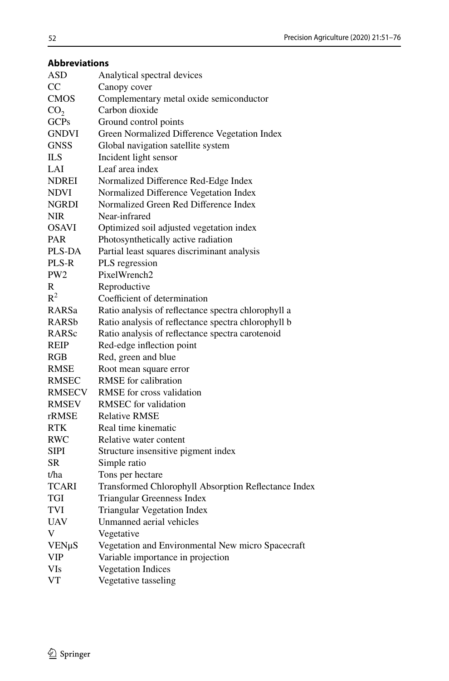| <b>Abbreviations</b> |          |
|----------------------|----------|
| ASD                  | Analytic |
|                      |          |

| ASD             | Analytical spectral devices                          |
|-----------------|------------------------------------------------------|
| $_{\rm CC}$     | Canopy cover                                         |
| <b>CMOS</b>     | Complementary metal oxide semiconductor              |
| CO <sub>2</sub> | Carbon dioxide                                       |
| <b>GCPs</b>     | Ground control points                                |
| <b>GNDVI</b>    | Green Normalized Difference Vegetation Index         |
| <b>GNSS</b>     | Global navigation satellite system                   |
| <b>ILS</b>      | Incident light sensor                                |
| LAI             | Leaf area index                                      |
| <b>NDREI</b>    | Normalized Difference Red-Edge Index                 |
| NDVI            | Normalized Difference Vegetation Index               |
| NGRDI           | Normalized Green Red Difference Index                |
| NIR             | Near-infrared                                        |
| OSAVI           | Optimized soil adjusted vegetation index             |
| PAR             | Photosynthetically active radiation                  |
| PLS-DA          | Partial least squares discriminant analysis          |
| PLS-R           | PLS regression                                       |
| PW <sub>2</sub> | PixelWrench2                                         |
| R               | Reproductive                                         |
| $\mathbb{R}^2$  | Coefficient of determination                         |
| RARSa           | Ratio analysis of reflectance spectra chlorophyll a  |
| RARSb           | Ratio analysis of reflectance spectra chlorophyll b  |
| RARSc           | Ratio analysis of reflectance spectra carotenoid     |
| REIP            | Red-edge inflection point                            |
| RGB             | Red, green and blue                                  |
| RMSE            | Root mean square error                               |
| RMSEC           | RMSE for calibration                                 |
| RMSECV          | RMSE for cross validation                            |
| RMSEV           | RMSEC for validation                                 |
| rRMSE           | <b>Relative RMSE</b>                                 |
| RTK             | Real time kinematic                                  |
| RWC             | Relative water content                               |
| <b>SIPI</b>     | Structure insensitive pigment index                  |
| SR              | Simple ratio                                         |
| t/ha            | Tons per hectare                                     |
| <b>TCARI</b>    | Transformed Chlorophyll Absorption Reflectance Index |
| TGI             | Triangular Greenness Index                           |
| TVI             | Triangular Vegetation Index                          |
| UAV             | Unmanned aerial vehicles                             |
| V               | Vegetative                                           |
| VENµS           | Vegetation and Environmental New micro Spacecraft    |
| <b>VIP</b>      | Variable importance in projection                    |
| VIs             | <b>Vegetation Indices</b>                            |
| VT              | Vegetative tasseling                                 |
|                 |                                                      |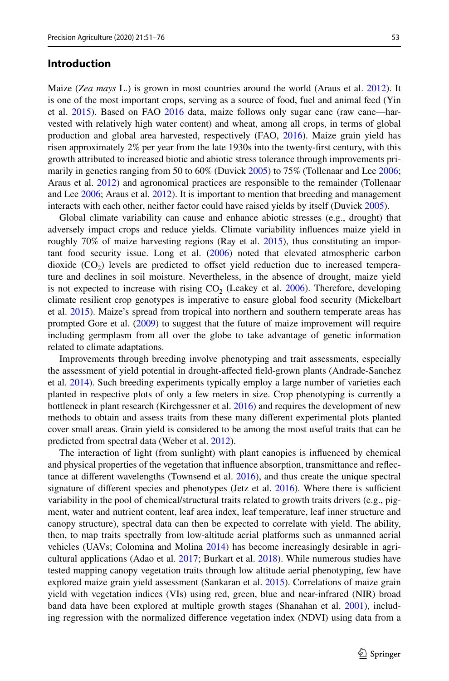#### **Introduction**

Maize (*Zea mays* L.) is grown in most countries around the world (Araus et al. 2012). It is one of the most important crops, serving as a source of food, fuel and animal feed (Yin et al. 2015). Based on FAO 2016 data, maize follows only sugar cane (raw cane—harvested with relatively high water content) and wheat, among all crops, in terms of global production and global area harvested, respectively (FAO, 2016). Maize grain yield has risen approximately 2% per year from the late 1930s into the twenty-frst century, with this growth attributed to increased biotic and abiotic stress tolerance through improvements primarily in genetics ranging from 50 to 60% (Duvick 2005) to 75% (Tollenaar and Lee 2006; Araus et al. 2012) and agronomical practices are responsible to the remainder (Tollenaar and Lee 2006; Araus et al. 2012). It is important to mention that breeding and management interacts with each other, neither factor could have raised yields by itself (Duvick 2005).

Global climate variability can cause and enhance abiotic stresses (e.g., drought) that adversely impact crops and reduce yields. Climate variability infuences maize yield in roughly  $70\%$  of maize harvesting regions (Ray et al. 2015), thus constituting an important food security issue. Long et al. (2006) noted that elevated atmospheric carbon dioxide  $(CO<sub>2</sub>)$  levels are predicted to offset yield reduction due to increased temperature and declines in soil moisture. Nevertheless, in the absence of drought, maize yield is not expected to increase with rising  $CO<sub>2</sub>$  (Leakey et al. 2006). Therefore, developing climate resilient crop genotypes is imperative to ensure global food security (Mickelbart et al. 2015). Maize's spread from tropical into northern and southern temperate areas has prompted Gore et al. (2009) to suggest that the future of maize improvement will require including germplasm from all over the globe to take advantage of genetic information related to climate adaptations.

Improvements through breeding involve phenotyping and trait assessments, especially the assessment of yield potential in drought-afected feld-grown plants (Andrade-Sanchez et al. 2014). Such breeding experiments typically employ a large number of varieties each planted in respective plots of only a few meters in size. Crop phenotyping is currently a bottleneck in plant research (Kirchgessner et al. 2016) and requires the development of new methods to obtain and assess traits from these many diferent experimental plots planted cover small areas. Grain yield is considered to be among the most useful traits that can be predicted from spectral data (Weber et al. 2012).

The interaction of light (from sunlight) with plant canopies is infuenced by chemical and physical properties of the vegetation that infuence absorption, transmittance and refectance at diferent wavelengths (Townsend et al. 2016), and thus create the unique spectral signature of different species and phenotypes (Jetz et al.  $2016$ ). Where there is sufficient variability in the pool of chemical/structural traits related to growth traits drivers (e.g., pigment, water and nutrient content, leaf area index, leaf temperature, leaf inner structure and canopy structure), spectral data can then be expected to correlate with yield. The ability, then, to map traits spectrally from low-altitude aerial platforms such as unmanned aerial vehicles (UAVs; Colomina and Molina 2014) has become increasingly desirable in agricultural applications (Adao et al. 2017; Burkart et al. 2018). While numerous studies have tested mapping canopy vegetation traits through low altitude aerial phenotyping, few have explored maize grain yield assessment (Sankaran et al. 2015). Correlations of maize grain yield with vegetation indices (VIs) using red, green, blue and near-infrared (NIR) broad band data have been explored at multiple growth stages (Shanahan et al. 2001), including regression with the normalized diference vegetation index (NDVI) using data from a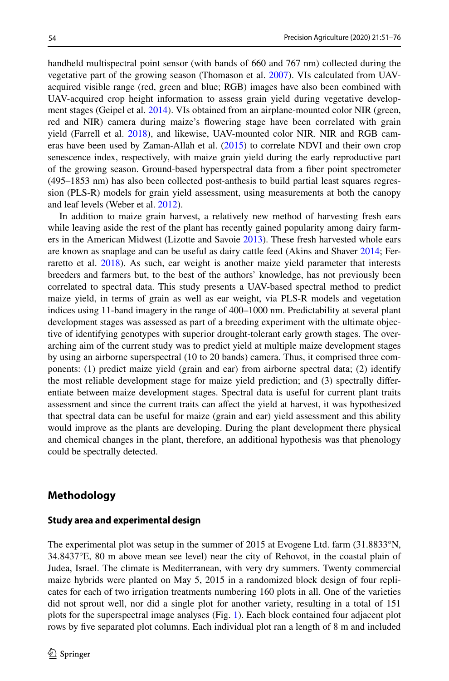handheld multispectral point sensor (with bands of 660 and 767 nm) collected during the vegetative part of the growing season (Thomason et al. 2007). VIs calculated from UAVacquired visible range (red, green and blue; RGB) images have also been combined with UAV-acquired crop height information to assess grain yield during vegetative development stages (Geipel et al. 2014). VIs obtained from an airplane-mounted color NIR (green, red and NIR) camera during maize's fowering stage have been correlated with grain yield (Farrell et al. 2018), and likewise, UAV-mounted color NIR. NIR and RGB cameras have been used by Zaman-Allah et al. (2015) to correlate NDVI and their own crop senescence index, respectively, with maize grain yield during the early reproductive part of the growing season. Ground-based hyperspectral data from a fber point spectrometer (495–1853 nm) has also been collected post-anthesis to build partial least squares regression (PLS-R) models for grain yield assessment, using measurements at both the canopy and leaf levels (Weber et al. 2012).

In addition to maize grain harvest, a relatively new method of harvesting fresh ears while leaving aside the rest of the plant has recently gained popularity among dairy farmers in the American Midwest (Lizotte and Savoie 2013). These fresh harvested whole ears are known as snaplage and can be useful as dairy cattle feed (Akins and Shaver 2014; Ferraretto et al. 2018). As such, ear weight is another maize yield parameter that interests breeders and farmers but, to the best of the authors' knowledge, has not previously been correlated to spectral data. This study presents a UAV-based spectral method to predict maize yield, in terms of grain as well as ear weight, via PLS-R models and vegetation indices using 11-band imagery in the range of 400–1000 nm. Predictability at several plant development stages was assessed as part of a breeding experiment with the ultimate objective of identifying genotypes with superior drought-tolerant early growth stages. The overarching aim of the current study was to predict yield at multiple maize development stages by using an airborne superspectral (10 to 20 bands) camera. Thus, it comprised three components: (1) predict maize yield (grain and ear) from airborne spectral data; (2) identify the most reliable development stage for maize yield prediction; and (3) spectrally diferentiate between maize development stages. Spectral data is useful for current plant traits assessment and since the current traits can afect the yield at harvest, it was hypothesized that spectral data can be useful for maize (grain and ear) yield assessment and this ability would improve as the plants are developing. During the plant development there physical and chemical changes in the plant, therefore, an additional hypothesis was that phenology could be spectrally detected.

## **Methodology**

#### **Study area and experimental design**

The experimental plot was setup in the summer of 2015 at Evogene Ltd. farm (31.8833°N, 34.8437°E, 80 m above mean see level) near the city of Rehovot, in the coastal plain of Judea, Israel. The climate is Mediterranean, with very dry summers. Twenty commercial maize hybrids were planted on May 5, 2015 in a randomized block design of four replicates for each of two irrigation treatments numbering 160 plots in all. One of the varieties did not sprout well, nor did a single plot for another variety, resulting in a total of 151 plots for the superspectral image analyses (Fig. 1). Each block contained four adjacent plot rows by fve separated plot columns. Each individual plot ran a length of 8 m and included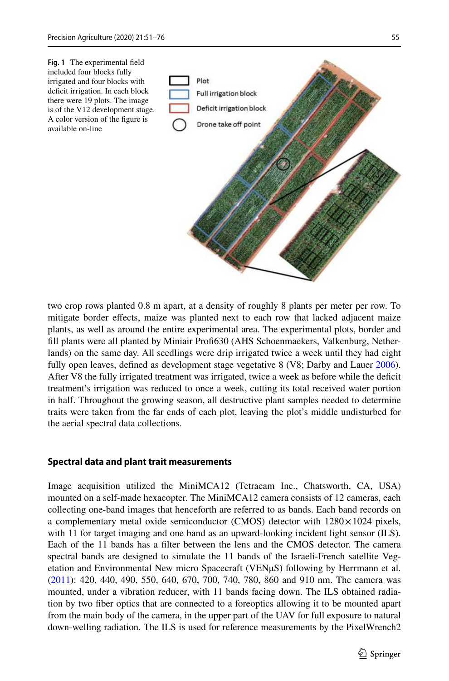

two crop rows planted 0.8 m apart, at a density of roughly 8 plants per meter per row. To mitigate border efects, maize was planted next to each row that lacked adjacent maize plants, as well as around the entire experimental area. The experimental plots, border and fll plants were all planted by Miniair Prof630 (AHS Schoenmaekers, Valkenburg, Netherlands) on the same day. All seedlings were drip irrigated twice a week until they had eight fully open leaves, defined as development stage vegetative 8 (V8; Darby and Lauer 2006). After V8 the fully irrigated treatment was irrigated, twice a week as before while the deficit treatment's irrigation was reduced to once a week, cutting its total received water portion in half. Throughout the growing season, all destructive plant samples needed to determine traits were taken from the far ends of each plot, leaving the plot's middle undisturbed for the aerial spectral data collections.

#### **Spectral data and plant trait measurements**

Image acquisition utilized the MiniMCA12 (Tetracam Inc., Chatsworth, CA, USA) mounted on a self-made hexacopter. The MiniMCA12 camera consists of 12 cameras, each collecting one-band images that henceforth are referred to as bands. Each band records on a complementary metal oxide semiconductor (CMOS) detector with  $1280 \times 1024$  pixels, with 11 for target imaging and one band as an upward-looking incident light sensor (ILS). Each of the 11 bands has a flter between the lens and the CMOS detector. The camera spectral bands are designed to simulate the 11 bands of the Israeli-French satellite Vegetation and Environmental New micro Spacecraft (VENμS) following by Herrmann et al. (2011): 420, 440, 490, 550, 640, 670, 700, 740, 780, 860 and 910 nm. The camera was mounted, under a vibration reducer, with 11 bands facing down. The ILS obtained radiation by two fber optics that are connected to a foreoptics allowing it to be mounted apart from the main body of the camera, in the upper part of the UAV for full exposure to natural down-welling radiation. The ILS is used for reference measurements by the PixelWrench2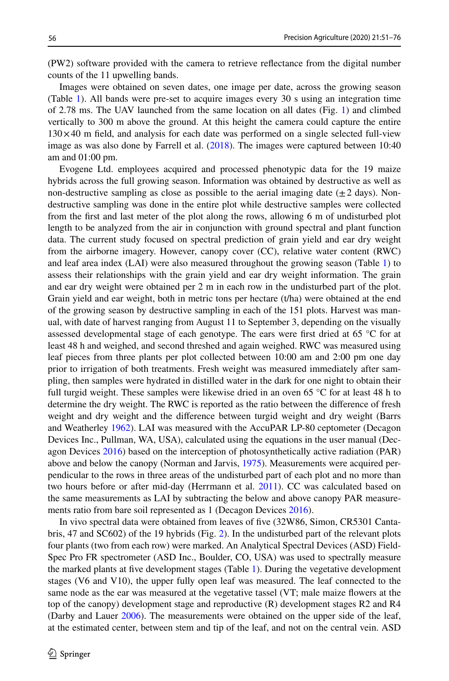(PW2) software provided with the camera to retrieve refectance from the digital number counts of the 11 upwelling bands.

Images were obtained on seven dates, one image per date, across the growing season (Table 1). All bands were pre-set to acquire images every 30 s using an integration time of 2.78 ms. The UAV launched from the same location on all dates (Fig. 1) and climbed vertically to 300 m above the ground. At this height the camera could capture the entire  $130\times40$  m field, and analysis for each date was performed on a single selected full-view image as was also done by Farrell et al. (2018). The images were captured between 10:40 am and 01:00 pm.

Evogene Ltd. employees acquired and processed phenotypic data for the 19 maize hybrids across the full growing season. Information was obtained by destructive as well as non-destructive sampling as close as possible to the aerial imaging date  $(\pm 2 \text{ days})$ . Nondestructive sampling was done in the entire plot while destructive samples were collected from the frst and last meter of the plot along the rows, allowing 6 m of undisturbed plot length to be analyzed from the air in conjunction with ground spectral and plant function data. The current study focused on spectral prediction of grain yield and ear dry weight from the airborne imagery. However, canopy cover (CC), relative water content (RWC) and leaf area index (LAI) were also measured throughout the growing season (Table 1) to assess their relationships with the grain yield and ear dry weight information. The grain and ear dry weight were obtained per 2 m in each row in the undisturbed part of the plot. Grain yield and ear weight, both in metric tons per hectare (t/ha) were obtained at the end of the growing season by destructive sampling in each of the 151 plots. Harvest was manual, with date of harvest ranging from August 11 to September 3, depending on the visually assessed developmental stage of each genotype. The ears were frst dried at 65 °C for at least 48 h and weighed, and second threshed and again weighed. RWC was measured using leaf pieces from three plants per plot collected between 10:00 am and 2:00 pm one day prior to irrigation of both treatments. Fresh weight was measured immediately after sampling, then samples were hydrated in distilled water in the dark for one night to obtain their full turgid weight. These samples were likewise dried in an oven 65 °C for at least 48 h to determine the dry weight. The RWC is reported as the ratio between the diference of fresh weight and dry weight and the diference between turgid weight and dry weight (Barrs and Weatherley 1962). LAI was measured with the AccuPAR LP-80 ceptometer (Decagon Devices Inc., Pullman, WA, USA), calculated using the equations in the user manual (Decagon Devices 2016) based on the interception of photosynthetically active radiation (PAR) above and below the canopy (Norman and Jarvis, 1975). Measurements were acquired perpendicular to the rows in three areas of the undisturbed part of each plot and no more than two hours before or after mid-day (Herrmann et al. 2011). CC was calculated based on the same measurements as LAI by subtracting the below and above canopy PAR measurements ratio from bare soil represented as 1 (Decagon Devices 2016).

In vivo spectral data were obtained from leaves of fve (32W86, Simon, CR5301 Cantabris, 47 and SC602) of the 19 hybrids (Fig. 2). In the undisturbed part of the relevant plots four plants (two from each row) were marked. An Analytical Spectral Devices (ASD) Field-Spec Pro FR spectrometer (ASD Inc., Boulder, CO, USA) was used to spectrally measure the marked plants at fve development stages (Table 1). During the vegetative development stages (V6 and V10), the upper fully open leaf was measured. The leaf connected to the same node as the ear was measured at the vegetative tassel (VT; male maize fowers at the top of the canopy) development stage and reproductive (R) development stages R2 and R4 (Darby and Lauer 2006). The measurements were obtained on the upper side of the leaf, at the estimated center, between stem and tip of the leaf, and not on the central vein. ASD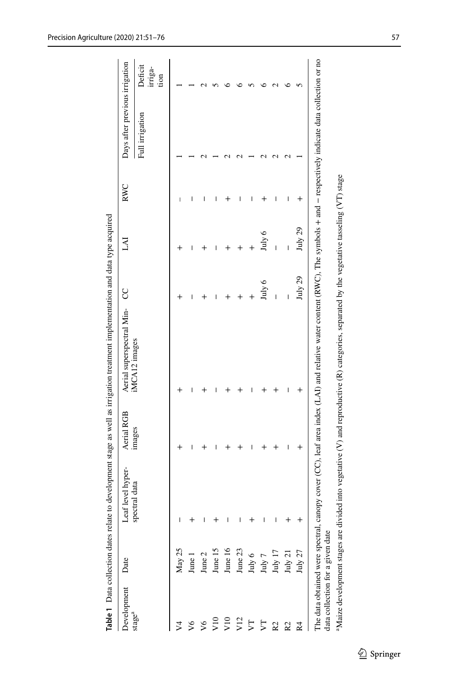| Development                | Date                             | Leaf level hyper- | Aerial RGB     | Aerial superspectral Min- CC                                                                                                                                                |         | IA1         | <b>RWC</b>     | Days after previous irrigation |                            |
|----------------------------|----------------------------------|-------------------|----------------|-----------------------------------------------------------------------------------------------------------------------------------------------------------------------------|---------|-------------|----------------|--------------------------------|----------------------------|
| stage <sup>a</sup>         |                                  | spectral data     | images         | iMCA12 images                                                                                                                                                               |         |             |                | Full irrigation                | Deficit<br>irriga-<br>tion |
|                            | May 25                           | I                 |                |                                                                                                                                                                             |         |             | I              |                                |                            |
|                            | June 1                           | $\,{}^+$          | I              | I                                                                                                                                                                           | I       | I           |                |                                |                            |
| $\sqrt{6}$                 | June 2                           | I                 |                |                                                                                                                                                                             |         |             |                |                                |                            |
| $\frac{10}{2}$             | June 15                          | $\,{}^+$          |                |                                                                                                                                                                             |         |             | I              |                                |                            |
| V10                        | June 16                          | $\mathsf I$       |                |                                                                                                                                                                             |         |             |                |                                |                            |
| V12                        | June 23                          | I                 |                |                                                                                                                                                                             |         |             |                |                                |                            |
| Z                          | $\rm{July}$ $\rm{6}$             | $\,{}^+$          |                |                                                                                                                                                                             |         |             |                |                                |                            |
| $\overline{\triangledown}$ | $\rm{July}$ $\rm{7}$             | I                 |                |                                                                                                                                                                             | July 6  | July 6      |                |                                |                            |
| R <sub>2</sub>             | $\rm{July}$ 17                   | $\mathsf{l}$      |                |                                                                                                                                                                             | I       | I           |                |                                |                            |
| R2                         | $\rm{July}$ $\rm{21}$            | $\,{}^+$          | I              | I                                                                                                                                                                           | I       | $\mathsf I$ | I              |                                |                            |
| Σ4                         | July 27                          | $^+$              | $\overline{+}$ |                                                                                                                                                                             | July 29 | July 29     | $\overline{+}$ |                                |                            |
|                            | data collection for a given date |                   |                | The data obtained were spectral, canopy cover (CC), leaf area index (LAI) and relative water content (RWC), The symbols + and - respectively indicate data collection or no |         |             |                |                                |                            |

**Table 1** Data collection dates relate to development stage as well as irrigation treatment implementation and data type acquired

Table 1 Data collection dates relate to development stage as well as irrigation treatment implementation and data type acquired

Maize development stages are divided into vegetative (V) and reproductive (R) categories, separated by the vegetative tasseling (VT) stage

<sup>a</sup>Maize development stages are divided into vegetative (V) and reproductive (R) categories, separated by the vegetative tasseling (VT) stage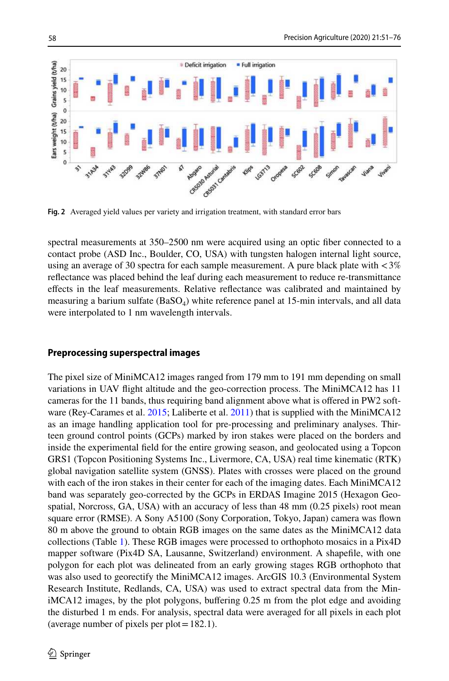

**Fig. 2** Averaged yield values per variety and irrigation treatment, with standard error bars

spectral measurements at 350–2500 nm were acquired using an optic fber connected to a contact probe (ASD Inc., Boulder, CO, USA) with tungsten halogen internal light source, using an average of 30 spectra for each sample measurement. A pure black plate with  $\langle 3\% \rangle$ refectance was placed behind the leaf during each measurement to reduce re-transmittance efects in the leaf measurements. Relative refectance was calibrated and maintained by measuring a barium sulfate  $(BaSO<sub>4</sub>)$  white reference panel at 15-min intervals, and all data were interpolated to 1 nm wavelength intervals.

#### **Preprocessing superspectral images**

The pixel size of MiniMCA12 images ranged from 179 mm to 191 mm depending on small variations in UAV fight altitude and the geo-correction process. The MiniMCA12 has 11 cameras for the 11 bands, thus requiring band alignment above what is ofered in PW2 software (Rey-Carames et al. 2015; Laliberte et al. 2011) that is supplied with the MiniMCA12 as an image handling application tool for pre-processing and preliminary analyses. Thirteen ground control points (GCPs) marked by iron stakes were placed on the borders and inside the experimental feld for the entire growing season, and geolocated using a Topcon GRS1 (Topcon Positioning Systems Inc., Livermore, CA, USA) real time kinematic (RTK) global navigation satellite system (GNSS). Plates with crosses were placed on the ground with each of the iron stakes in their center for each of the imaging dates. Each MiniMCA12 band was separately geo-corrected by the GCPs in ERDAS Imagine 2015 (Hexagon Geospatial, Norcross, GA, USA) with an accuracy of less than 48 mm (0.25 pixels) root mean square error (RMSE). A Sony A5100 (Sony Corporation, Tokyo, Japan) camera was fown 80 m above the ground to obtain RGB images on the same dates as the MiniMCA12 data collections (Table 1). These RGB images were processed to orthophoto mosaics in a Pix4D mapper software (Pix4D SA, Lausanne, Switzerland) environment. A shapefle, with one polygon for each plot was delineated from an early growing stages RGB orthophoto that was also used to georectify the MiniMCA12 images. ArcGIS 10.3 (Environmental System Research Institute, Redlands, CA, USA) was used to extract spectral data from the MiniMCA12 images, by the plot polygons, bufering 0.25 m from the plot edge and avoiding the disturbed 1 m ends. For analysis, spectral data were averaged for all pixels in each plot (average number of pixels per plot=182.1).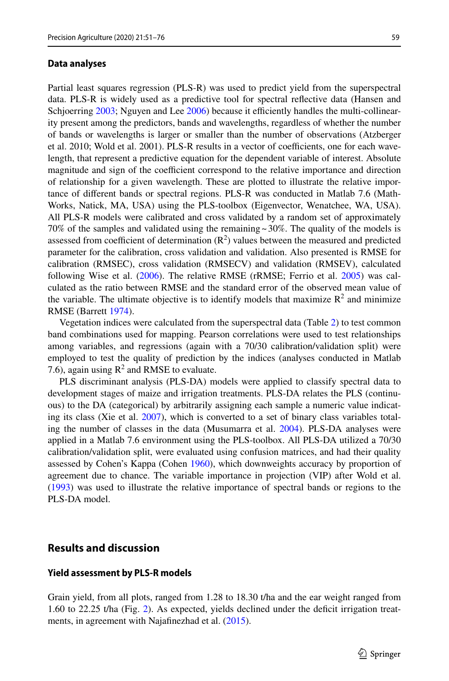#### **Data analyses**

Partial least squares regression (PLS-R) was used to predict yield from the superspectral data. PLS-R is widely used as a predictive tool for spectral refective data (Hansen and Schjoerring  $2003$ ; Nguyen and Lee  $2006$ ) because it efficiently handles the multi-collinearity present among the predictors, bands and wavelengths, regardless of whether the number of bands or wavelengths is larger or smaller than the number of observations (Atzberger et al. 2010; Wold et al. 2001). PLS-R results in a vector of coefficients, one for each wavelength, that represent a predictive equation for the dependent variable of interest. Absolute magnitude and sign of the coefficient correspond to the relative importance and direction of relationship for a given wavelength. These are plotted to illustrate the relative importance of diferent bands or spectral regions. PLS-R was conducted in Matlab 7.6 (Math-Works, Natick, MA, USA) using the PLS-toolbox (Eigenvector, Wenatchee, WA, USA). All PLS-R models were calibrated and cross validated by a random set of approximately 70% of the samples and validated using the remaining  $\approx$  30%. The quality of the models is assessed from coefficient of determination  $(R^2)$  values between the measured and predicted parameter for the calibration, cross validation and validation. Also presented is RMSE for calibration (RMSEC), cross validation (RMSECV) and validation (RMSEV), calculated following Wise et al. (2006). The relative RMSE (rRMSE; Ferrio et al. 2005) was calculated as the ratio between RMSE and the standard error of the observed mean value of the variable. The ultimate objective is to identify models that maximize  $\mathbb{R}^2$  and minimize RMSE (Barrett 1974).

Vegetation indices were calculated from the superspectral data (Table 2) to test common band combinations used for mapping. Pearson correlations were used to test relationships among variables, and regressions (again with a 70/30 calibration/validation split) were employed to test the quality of prediction by the indices (analyses conducted in Matlab 7.6), again using  $R^2$  and RMSE to evaluate.

PLS discriminant analysis (PLS-DA) models were applied to classify spectral data to development stages of maize and irrigation treatments. PLS-DA relates the PLS (continuous) to the DA (categorical) by arbitrarily assigning each sample a numeric value indicating its class (Xie et al. 2007), which is converted to a set of binary class variables totaling the number of classes in the data (Musumarra et al. 2004). PLS-DA analyses were applied in a Matlab 7.6 environment using the PLS-toolbox. All PLS-DA utilized a 70/30 calibration/validation split, were evaluated using confusion matrices, and had their quality assessed by Cohen's Kappa (Cohen 1960), which downweights accuracy by proportion of agreement due to chance. The variable importance in projection (VIP) after Wold et al. (1993) was used to illustrate the relative importance of spectral bands or regions to the PLS-DA model.

# **Results and discussion**

#### **Yield assessment by PLS‑R models**

Grain yield, from all plots, ranged from 1.28 to 18.30 t/ha and the ear weight ranged from 1.60 to 22.25 t/ha (Fig. 2). As expected, yields declined under the defcit irrigation treatments, in agreement with Najafinezhad et al. (2015).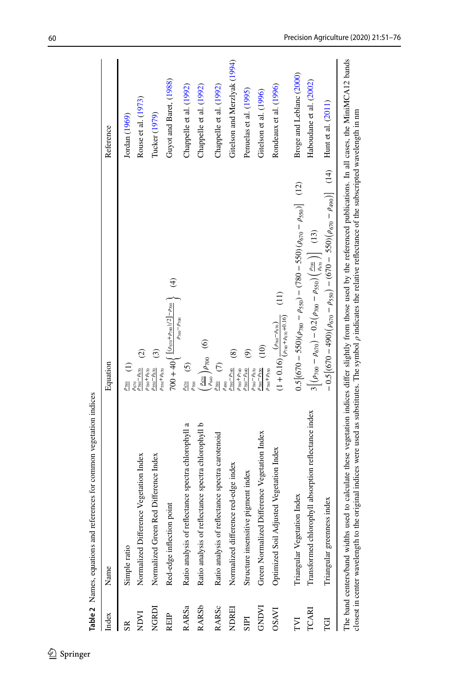| Index          | Name                                                 | Equation                                                                                                                                       | Reference                    |
|----------------|------------------------------------------------------|------------------------------------------------------------------------------------------------------------------------------------------------|------------------------------|
| S <sub>R</sub> | Simple ratio                                         | $\frac{\rho_{780}}{}$ (1)                                                                                                                      | Jordan $(1969)$              |
| INDVI          | Normalized Difference Vegetation Index               | $\widehat{c}$<br>$\rho_{780} - \rho_{670}$<br>$\rho_{780} + \rho_{670}$<br>$\rho_{670}$                                                        | Rouse et al. (1973)          |
| NGRDI          | Normalized Green Red Difference Index                | $\widehat{c}$<br>$\rho_{550} + \rho_{670}$<br>$\rho_{550} - \rho_{670}$                                                                        | Tucker (1979)                |
| <b>REIP</b>    | Red-edge inflection point                            | $\bigoplus$<br>700 + 40 $\left\{\frac{[(\rho_{670}+\rho_{780})/2]-\rho_{700}}{2} \right\}$                                                     | Guyot and Baret, (1988)      |
| RARSa          | Ratio analysis of reflectance spectra chlorophyll a  | $\rho_{740}\!-\!\rho_{700}$<br>$\frac{\rho_{670}}{5}$ (5)                                                                                      | Chappelle et al. (1992)      |
| <b>RARSb</b>   | Ratio analysis of reflectance spectra chlorophyll b  | $\circledcirc$<br>$\left(\frac{\rho_{670}}{\rho_{640}}\right)\rho_{700}$                                                                       | Chappelle et al. (1992)      |
| RARSc          | Ratio analysis of reflectance spectra carotenoid     | $\widehat{c}$<br>$\rho_{780}$                                                                                                                  | Chappelle et al. (1992)      |
| <b>NDREI</b>   | Normalized difference red-edge index                 | $\widehat{\circ}$<br>$\rho_{780} - \rho_{740}$<br>$\rho_{780} + \rho_{740}$<br>P <sub>490</sub>                                                | Gitelson and Merzlyak (1994) |
| SIPI           | Structure insensitive pigment index                  | ම<br>$\rho_{780} - \rho_{440}$                                                                                                                 | Penuelas et al. (1995)       |
| <b>GNDVI</b>   | Green Normalized Difference Vegetation Index         | $\frac{10}{2}$<br>$\rho_{780} - \rho_{550}$<br>$\rho_{780}-\rho_{670}$                                                                         | Gitelson et al. (1996)       |
| <b>OSAVI</b>   | Optimized Soil Adjusted Vegetation Index             | $\left(11\right)$<br>$(1+0.16)\frac{((\rho_{\rm{780}}-\rho_{\rm{670}}))}{(\rho_{\rm{780}}+\rho_{\rm{670}}+0.16)}$<br>$\rho_{780} + \rho_{550}$ | Rondeaux et al. (1996)       |
| TVI            | Triangular Vegetation Index                          | $0.5[(670 - 550)(\rho_{780} - \rho_{550}) - (780 - 550)(\rho_{670} - \rho_{550})]$ (12)                                                        | Broge and Leblanc (2000)     |
| TCARI          | Transformed chlorophyll absorption reflectance index | $3\left[\left(\rho_{700} - \rho_{670}\right) - 0.2\left(\rho_{700} - \rho_{550}\right)\left(\frac{\rho_{700}}{\rho_{670}}\right)\right]$ (13)  | Haboudane et al. (2002)      |
| ŢĞĪ            | index<br>Triangular greenness                        | $-0.5[(670 - 490)(\rho_{670} - \rho_{550}) - (670 - 550)(\rho_{670} - \rho_{490})]$ (14) Hunt et al. (2011)                                    |                              |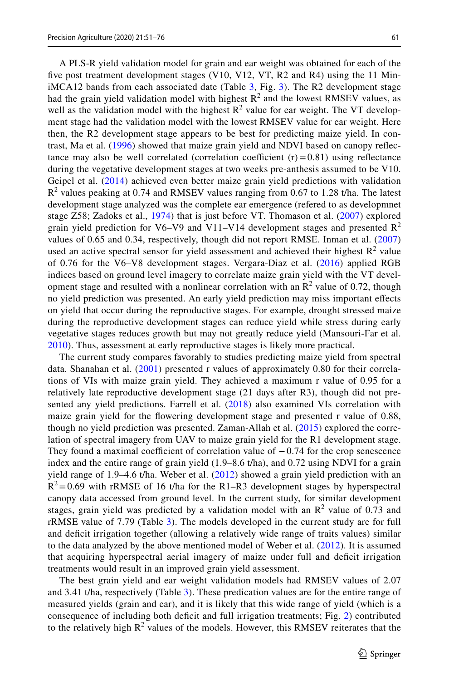A PLS-R yield validation model for grain and ear weight was obtained for each of the fve post treatment development stages (V10, V12, VT, R2 and R4) using the 11 Min $i$ MCA12 bands from each associated date (Table 3, Fig. 3). The R2 development stage had the grain yield validation model with highest  $R^2$  and the lowest RMSEV values, as well as the validation model with the highest  $\mathbb{R}^2$  value for ear weight. The VT development stage had the validation model with the lowest RMSEV value for ear weight. Here then, the R2 development stage appears to be best for predicting maize yield. In contrast, Ma et al. (1996) showed that maize grain yield and NDVI based on canopy refectance may also be well correlated (correlation coefficient  $(r) = 0.81$ ) using reflectance during the vegetative development stages at two weeks pre-anthesis assumed to be V10. Geipel et al. (2014) achieved even better maize grain yield predictions with validation  $R<sup>2</sup>$  values peaking at 0.74 and RMSEV values ranging from 0.67 to 1.28 t/ha. The latest development stage analyzed was the complete ear emergence (refered to as developmnet stage Z58; Zadoks et al., 1974) that is just before VT. Thomason et al. (2007) explored grain yield prediction for V6–V9 and V11–V14 development stages and presented  $\mathbb{R}^2$ values of 0.65 and 0.34, respectively, though did not report RMSE. Inman et al. (2007) used an active spectral sensor for yield assessment and achieved their highest  $\mathbb{R}^2$  value of 0.76 for the V6–V8 development stages. Vergara-Diaz et al. (2016) applied RGB indices based on ground level imagery to correlate maize grain yield with the VT development stage and resulted with a nonlinear correlation with an  $\mathbb{R}^2$  value of 0.72, though no yield prediction was presented. An early yield prediction may miss important efects on yield that occur during the reproductive stages. For example, drought stressed maize during the reproductive development stages can reduce yield while stress during early vegetative stages reduces growth but may not greatly reduce yield (Mansouri-Far et al. 2010). Thus, assessment at early reproductive stages is likely more practical.

The current study compares favorably to studies predicting maize yield from spectral data. Shanahan et al. (2001) presented r values of approximately 0.80 for their correlations of VIs with maize grain yield. They achieved a maximum r value of 0.95 for a relatively late reproductive development stage (21 days after R3), though did not presented any yield predictions. Farrell et al. (2018) also examined VIs correlation with maize grain yield for the fowering development stage and presented r value of 0.88, though no yield prediction was presented. Zaman-Allah et al. (2015) explored the correlation of spectral imagery from UAV to maize grain yield for the R1 development stage. They found a maximal coefficient of correlation value of  $-0.74$  for the crop senescence index and the entire range of grain yield (1.9–8.6 t/ha), and 0.72 using NDVI for a grain yield range of 1.9–4.6 t/ha. Weber et al. (2012) showed a grain yield prediction with an  $R^2$ =0.69 with rRMSE of 16 t/ha for the R1–R3 development stages by hyperspectral canopy data accessed from ground level. In the current study, for similar development stages, grain yield was predicted by a validation model with an  $\mathbb{R}^2$  value of 0.73 and rRMSE value of 7.79 (Table 3). The models developed in the current study are for full and defcit irrigation together (allowing a relatively wide range of traits values) similar to the data analyzed by the above mentioned model of Weber et al. (2012). It is assumed that acquiring hyperspectral aerial imagery of maize under full and defcit irrigation treatments would result in an improved grain yield assessment.

The best grain yield and ear weight validation models had RMSEV values of 2.07 and 3.41 t/ha, respectively (Table 3). These predication values are for the entire range of measured yields (grain and ear), and it is likely that this wide range of yield (which is a consequence of including both defcit and full irrigation treatments; Fig. 2) contributed to the relatively high  $R^2$  values of the models. However, this RMSEV reiterates that the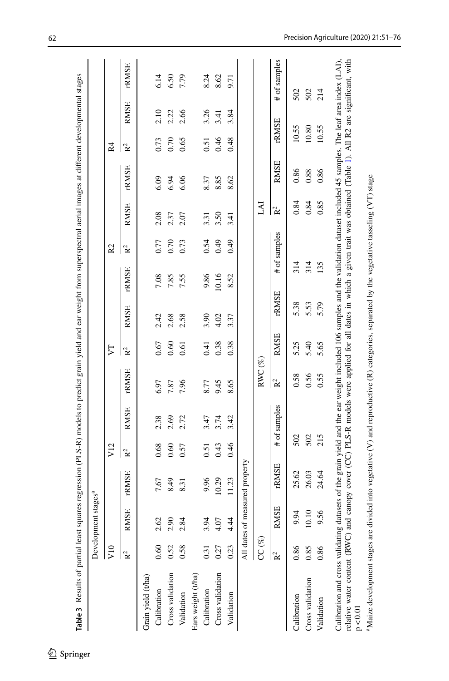|                    |                | Development stages <sup>a</sup> |                                |                |              |                               |                |             |             |                |                |             |                |             |              |
|--------------------|----------------|---------------------------------|--------------------------------|----------------|--------------|-------------------------------|----------------|-------------|-------------|----------------|----------------|-------------|----------------|-------------|--------------|
|                    | V10            |                                 |                                | V12            |              |                               | 77             |             |             | R <sub>2</sub> |                |             | R <sub>4</sub> |             |              |
|                    | $R^2$          | <b>RMSE</b>                     | rRMSE                          | R <sup>2</sup> | RMSE         | <b>FRMSE</b>                  | $\mathbf{R}^2$ | <b>RMSE</b> | <b>RMSE</b> | R <sup>2</sup> | RMSE           | rRMSE       | R <sup>2</sup> | <b>RMSE</b> | <b>rNSE</b>  |
| Grain yield (t/ha) |                |                                 |                                |                |              |                               |                |             |             |                |                |             |                |             |              |
| Calibration        | 0.60           | 2.62                            | 7.67                           | 0.68           | 2.38         | 6.97                          | 0.67           | 2.42        | 7.08        | 0.77           | 2.08           | 6.09        | 0.73           | 2.10        | 6.14         |
| Cross validation   | 0.52           | 2.90                            | 8.49                           | 0.60           | 2.69         | 7.87                          | 0.60           | 2.68        | 7.85        | 0.70           | 2.37           | 6.94        | 0.70           | 2.22        | 6.50         |
| Validation         | 0.58           | 2.84                            | 8.31                           | 0.57           | 2.72         | 7.96                          | 0.61           | 2.58        | 7.55        | 0.73           | 2.07           | 6.06        | 0.65           | 2.66        | 7.79         |
| Ears weight (t/ha) |                |                                 |                                |                |              |                               |                |             |             |                |                |             |                |             |              |
| Calibration        | 0.31           | 3.94                            | 9.96                           | 0.51           | 3.47         | 8.77                          | 0.41           | 3.90        | 9.86        | 0.54           | 3.31           | 8.37        | 0.51           | 3.26        | 8.24         |
| Cross validation   | 0.27           | 4.07                            | 10.29                          | 0.43           | 3.74         | 9.45                          | 0.38           | 4.02        | 10.16       | 0.49           | 3.50           | 8.85        | 0.46           | 3.41        | 8.62         |
| Validation         | 0.23           | 4.44                            | 11.23                          | 0.46           | 3.42         | 8.65                          | 0.38           | 3.37        | 8.52        | 64.0           | 3.41           | 8.62        | 0.48           | 3.84        | 9.71         |
|                    |                |                                 | All dates of measured property |                |              |                               |                |             |             |                |                |             |                |             |              |
|                    | $CC (\%)$      |                                 |                                |                |              | $\mathrm{RWC}\left(\%\right)$ |                |             |             |                | IAI            |             |                |             |              |
|                    | R <sup>2</sup> | <b>ISE</b><br>RM                | <b>rNSE</b>                    |                | # of samples | R <sup>2</sup>                | <b>RMSE</b>    | <b>RMSE</b> |             | # of samples   | R <sup>2</sup> | <b>RMSE</b> | <b>rNMSE</b>   |             | # of samples |
| Calibration        | 0.86           | 9.94                            | 25.62                          | 502            |              | 0.58                          | 5.25           | 5.38        | 314         |                | 0.84           | 0.86        | 10.55          |             | 502          |
| Cross validation   | 0.85           | 10.10                           | 26.03                          | 502            |              | 0.56                          | 5.40           | 5.53        | 314         |                | 0.84           | 0.88        | 10.80          |             | 502          |
| Validation         | 0.86           | 9.56                            | 24.64                          | 215            |              | 0.55                          | 5.65           | 5.79        | 135         |                | 0.85           | 0.86        | 10.55          |             | 214          |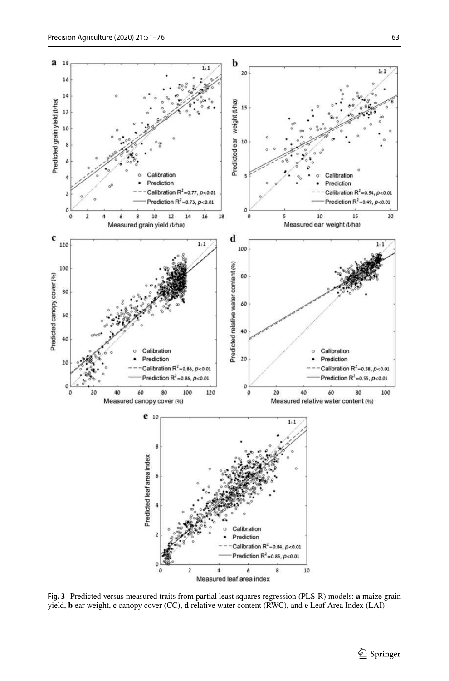

Measured leaf area index

**Fig. 3** Predicted versus measured traits from partial least squares regression (PLS-R) models: **a** maize grain yield, **b** ear weight, **c** canopy cover (CC), **d** relative water content (RWC), and **e** Leaf Area Index (LAI)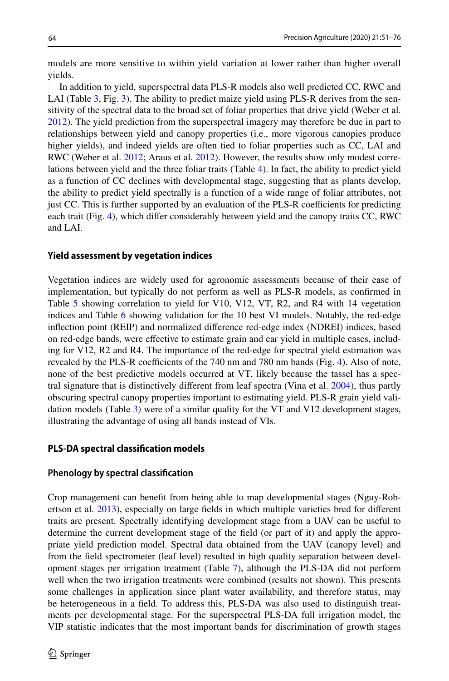models are more sensitive to within yield variation at lower rather than higher overall yields.

In addition to yield, superspectral data PLS-R models also well predicted CC, RWC and LAI (Table 3, Fig. 3). The ability to predict maize yield using PLS-R derives from the sensitivity of the spectral data to the broad set of foliar properties that drive yield (Weber et al. 2012). The yield prediction from the superspectral imagery may therefore be due in part to relationships between yield and canopy properties (i.e., more vigorous canopies produce higher yields), and indeed yields are often tied to foliar properties such as CC, LAI and RWC (Weber et al. 2012; Araus et al. 2012). However, the results show only modest correlations between yield and the three foliar traits (Table 4). In fact, the ability to predict yield as a function of CC declines with developmental stage, suggesting that as plants develop, the ability to predict yield spectrally is a function of a wide range of foliar attributes, not just CC. This is further supported by an evaluation of the PLS-R coefficients for predicting each trait (Fig. 4), which difer considerably between yield and the canopy traits CC, RWC and LAI.

#### **Yield assessment by vegetation indices**

Vegetation indices are widely used for agronomic assessments because of their ease of implementation, but typically do not perform as well as PLS-R models, as confrmed in Table 5 showing correlation to yield for V10, V12, VT, R2, and R4 with 14 vegetation indices and Table 6 showing validation for the 10 best VI models. Notably, the red-edge infection point (REIP) and normalized diference red-edge index (NDREI) indices, based on red-edge bands, were efective to estimate grain and ear yield in multiple cases, including for V12, R2 and R4. The importance of the red-edge for spectral yield estimation was revealed by the PLS-R coefficients of the  $740 \text{ nm}$  and  $780 \text{ nm}$  bands (Fig. 4). Also of note, none of the best predictive models occurred at VT, likely because the tassel has a spectral signature that is distinctively diferent from leaf spectra (Vina et al. 2004), thus partly obscuring spectral canopy properties important to estimating yield. PLS-R grain yield validation models (Table 3) were of a similar quality for the VT and V12 development stages, illustrating the advantage of using all bands instead of VIs.

## **PLS‑DA spectral classifcation models**

#### **Phenology by spectral classifcation**

Crop management can beneft from being able to map developmental stages (Nguy-Robertson et al. 2013), especially on large felds in which multiple varieties bred for diferent traits are present. Spectrally identifying development stage from a UAV can be useful to determine the current development stage of the feld (or part of it) and apply the appropriate yield prediction model. Spectral data obtained from the UAV (canopy level) and from the feld spectrometer (leaf level) resulted in high quality separation between development stages per irrigation treatment (Table 7), although the PLS-DA did not perform well when the two irrigation treatments were combined (results not shown). This presents some challenges in application since plant water availability, and therefore status, may be heterogeneous in a feld. To address this, PLS-DA was also used to distinguish treatments per developmental stage. For the superspectral PLS-DA full irrigation model, the VIP statistic indicates that the most important bands for discrimination of growth stages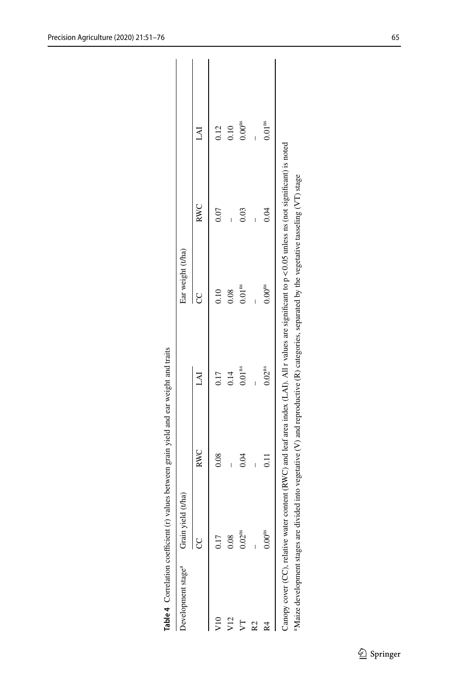| Development stage <sup>a</sup> Grain yield | $1$ (tha)          |      |                    | Ear weight (t/ha)  |      |                    |
|--------------------------------------------|--------------------|------|--------------------|--------------------|------|--------------------|
|                                            |                    | RWC  | FAI                |                    | RWC  | LAI                |
| $\frac{10}{2}$                             | 0.17               | 0.08 | 0.17               | 0.10               | 0.07 | 0.12               |
| $\sqrt{12}$                                | 0.08               |      | 0.14               | 0.08               |      | 0.10               |
| J                                          | 0.02 <sup>ns</sup> | 0.04 | 0.01 <sup>ns</sup> | 0.01 <sup>ns</sup> | 0.03 | $0.00^{ns}$        |
| R2                                         |                    |      |                    |                    |      |                    |
| R4                                         | $0.00^{ns}$        | 11   | 0.02 <sup>ns</sup> | $0.00^{ns}$        | 0.04 | 0.01 <sup>ns</sup> |

| .<br>.<br>.<br>.<br>į                                                                                                                         |
|-----------------------------------------------------------------------------------------------------------------------------------------------|
| contractor case of contractor and contractor<br>֧֧֧֧֧֧֧֧֧֧֧֧֧֧֧֧֧֧֧֧֧֧֧֧֧֧֧֧֧֧֧֧֧֧֧֛֪֪֪֪֪֪֪֪֚֚֚֚֚֚֚֚֚֚֚֚֚֚֚֝֝֓֝֓֝֬֝֓֝֬֝֬֝֬֝֬֝֬֓֓֝֬֝֬֝֬֜֝֬֝֬֝֬ |
| :<br>:                                                                                                                                        |
| ı                                                                                                                                             |
|                                                                                                                                               |
| į<br> <br> <br>                                                                                                                               |
| i                                                                                                                                             |
|                                                                                                                                               |
|                                                                                                                                               |
| $\ddot{\phantom{0}}$<br>ι                                                                                                                     |
| Ì<br>I                                                                                                                                        |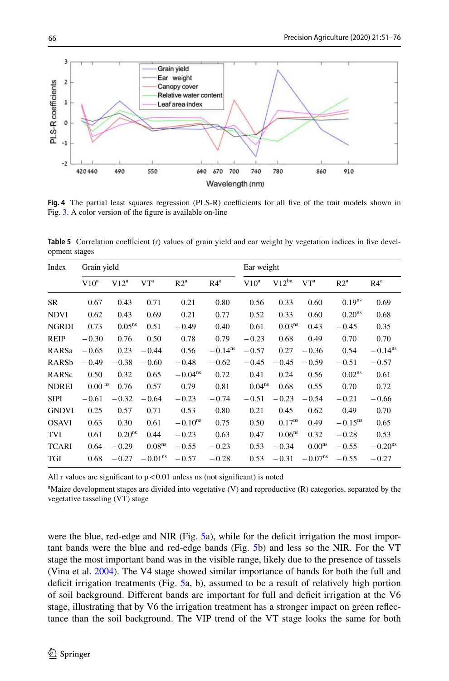

Fig. 4 The partial least squares regression (PLS-R) coefficients for all five of the trait models shown in Fig. 3. A color version of the fgure is available on-line

**Table 5** Correlation coefficient (r) values of grain yield and ear weight by vegetation indices in five development stages

| $V10^a$ | $V12^a$            | VT <sup>a</sup>                     | R2 <sup>a</sup>    | R4 <sup>a</sup>       | $V10^a$ | $V12^{ba}$         | V <sub>Ta</sub>           | R2 <sup>a</sup>       | R4 <sup>a</sup>       |
|---------|--------------------|-------------------------------------|--------------------|-----------------------|---------|--------------------|---------------------------|-----------------------|-----------------------|
| 0.67    | 0.43               | 0.71                                | 0.21               | 0.80                  | 0.56    | 0.33               | 0.60                      | $0.19^{ns}$           | 0.69                  |
| 0.62    | 0.43               | 0.69                                | 0.21               | 0.77                  | 0.52    | 0.33               | 0.60                      | 0.20 <sup>ns</sup>    | 0.68                  |
| 0.73    |                    | 0.51                                | $-0.49$            | 0.40                  | 0.61    | 0.03 <sup>ns</sup> | 0.43                      | $-0.45$               | 0.35                  |
| $-0.30$ | 0.76               | 0.50                                | 0.78               | 0.79                  | $-0.23$ | 0.68               | 0.49                      | 0.70                  | 0.70                  |
| $-0.65$ | 0.23               | $-0.44$                             | 0.56               | $-0.14$ <sup>ns</sup> | $-0.57$ | 0.27               | $-0.36$                   | 0.54                  | $-0.14$ <sup>ns</sup> |
| $-0.49$ | $-0.38$            | $-0.60$                             | $-0.48$            | $-0.62$               | $-0.45$ | $-0.45$            | $-0.59$                   | $-0.51$               | $-0.57$               |
| 0.50    | 0.32               | 0.65                                | $-0.04ns$          | 0.72                  | 0.41    | 0.24               | 0.56                      | 0.02 <sup>ns</sup>    | 0.61                  |
|         | 0.76               | 0.57                                | 0.79               | 0.81                  |         | 0.68               | 0.55                      | 0.70                  | 0.72                  |
| $-0.61$ | $-0.32$            | $-0.64$                             | $-0.23$            | $-0.74$               | $-0.51$ | $-0.23$            | $-0.54$                   | $-0.21$               | $-0.66$               |
| 0.25    | 0.57               | 0.71                                | 0.53               | 0.80                  | 0.21    | 0.45               | 0.62                      | 0.49                  | 0.70                  |
| 0.63    | 0.30               | 0.61                                | $-0.10^{ns}$       | 0.75                  | 0.50    | $0.17^{ns}$        | 0.49                      | $-0.15$ <sup>ns</sup> | 0.65                  |
| 0.61    | 0.20 <sup>ns</sup> | 0.44                                | $-0.23$            | 0.63                  | 0.47    | 0.06 <sup>ns</sup> | 0.32                      | $-0.28$               | 0.53                  |
| 0.64    | $-0.29$            | 0.08 <sup>ns</sup>                  | $-0.55$            | $-0.23$               | 0.53    | $-0.34$            | 0.00 <sup>ns</sup>        | $-0.55$               | $-0.20ns$             |
| 0.68    | $-0.27$            | $-0.01ns$                           | $-0.57$            | $-0.28$               | 0.53    | $-0.31$            | $-0.07^{\text{ns}}$       | $-0.55$               | $-0.27$               |
|         |                    | Grain yield<br>$0.00$ <sup>ns</sup> | 0.05 <sup>ns</sup> |                       |         |                    | Ear weight<br>$0.04^{ns}$ |                       |                       |

All r values are significant to  $p < 0.01$  unless ns (not significant) is noted

<sup>a</sup>Maize development stages are divided into vegetative (V) and reproductive (R) categories, separated by the vegetative tasseling (VT) stage

were the blue, red-edge and NIR (Fig. 5a), while for the deficit irrigation the most important bands were the blue and red-edge bands (Fig. 5b) and less so the NIR. For the VT stage the most important band was in the visible range, likely due to the presence of tassels (Vina et al. 2004). The V4 stage showed similar importance of bands for both the full and defcit irrigation treatments (Fig. 5a, b), assumed to be a result of relatively high portion of soil background. Different bands are important for full and deficit irrigation at the V6 stage, illustrating that by V6 the irrigation treatment has a stronger impact on green refectance than the soil background. The VIP trend of the VT stage looks the same for both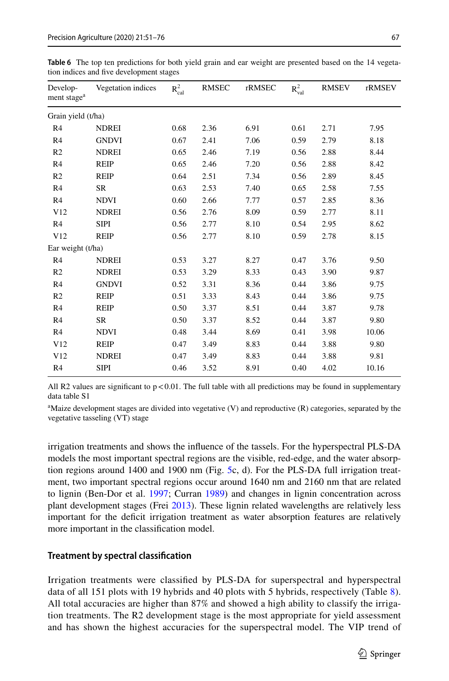| Develop-<br>ment stage <sup>a</sup> | Vegetation indices | $R^2_{cal}$ | <b>RMSEC</b> | rRMSEC | $R_{val}^2$ | <b>RMSEV</b> | rRMSEV |
|-------------------------------------|--------------------|-------------|--------------|--------|-------------|--------------|--------|
| Grain yield (t/ha)                  |                    |             |              |        |             |              |        |
| R <sub>4</sub>                      | <b>NDREI</b>       | 0.68        | 2.36         | 6.91   | 0.61        | 2.71         | 7.95   |
| R <sub>4</sub>                      | <b>GNDVI</b>       | 0.67        | 2.41         | 7.06   | 0.59        | 2.79         | 8.18   |
| R <sub>2</sub>                      | <b>NDREI</b>       | 0.65        | 2.46         | 7.19   | 0.56        | 2.88         | 8.44   |
| R <sub>4</sub>                      | <b>REIP</b>        | 0.65        | 2.46         | 7.20   | 0.56        | 2.88         | 8.42   |
| R <sub>2</sub>                      | <b>REIP</b>        | 0.64        | 2.51         | 7.34   | 0.56        | 2.89         | 8.45   |
| R4                                  | SR                 | 0.63        | 2.53         | 7.40   | 0.65        | 2.58         | 7.55   |
| R <sub>4</sub>                      | <b>NDVI</b>        | 0.60        | 2.66         | 7.77   | 0.57        | 2.85         | 8.36   |
| V12                                 | <b>NDREI</b>       | 0.56        | 2.76         | 8.09   | 0.59        | 2.77         | 8.11   |
| R <sub>4</sub>                      | <b>SIPI</b>        | 0.56        | 2.77         | 8.10   | 0.54        | 2.95         | 8.62   |
| V12                                 | <b>REIP</b>        | 0.56        | 2.77         | 8.10   | 0.59        | 2.78         | 8.15   |
| Ear weight (t/ha)                   |                    |             |              |        |             |              |        |
| R <sub>4</sub>                      | <b>NDREI</b>       | 0.53        | 3.27         | 8.27   | 0.47        | 3.76         | 9.50   |
| R <sub>2</sub>                      | <b>NDREI</b>       | 0.53        | 3.29         | 8.33   | 0.43        | 3.90         | 9.87   |
| R <sub>4</sub>                      | <b>GNDVI</b>       | 0.52        | 3.31         | 8.36   | 0.44        | 3.86         | 9.75   |
| R <sub>2</sub>                      | <b>REIP</b>        | 0.51        | 3.33         | 8.43   | 0.44        | 3.86         | 9.75   |
| R <sub>4</sub>                      | <b>REIP</b>        | 0.50        | 3.37         | 8.51   | 0.44        | 3.87         | 9.78   |
| R <sub>4</sub>                      | <b>SR</b>          | 0.50        | 3.37         | 8.52   | 0.44        | 3.87         | 9.80   |
| R <sub>4</sub>                      | <b>NDVI</b>        | 0.48        | 3.44         | 8.69   | 0.41        | 3.98         | 10.06  |
| V12                                 | <b>REIP</b>        | 0.47        | 3.49         | 8.83   | 0.44        | 3.88         | 9.80   |
| V12                                 | <b>NDREI</b>       | 0.47        | 3.49         | 8.83   | 0.44        | 3.88         | 9.81   |
| R <sub>4</sub>                      | <b>SIPI</b>        | 0.46        | 3.52         | 8.91   | 0.40        | 4.02         | 10.16  |
|                                     |                    |             |              |        |             |              |        |

**Table 6** The top ten predictions for both yield grain and ear weight are presented based on the 14 vegetation indices and fve development stages

All R2 values are significant to  $p < 0.01$ . The full table with all predictions may be found in supplementary data table S1

<sup>a</sup>Maize development stages are divided into vegetative (V) and reproductive (R) categories, separated by the vegetative tasseling (VT) stage

irrigation treatments and shows the infuence of the tassels. For the hyperspectral PLS-DA models the most important spectral regions are the visible, red-edge, and the water absorption regions around 1400 and 1900 nm (Fig. 5c, d). For the PLS-DA full irrigation treatment, two important spectral regions occur around 1640 nm and 2160 nm that are related to lignin (Ben-Dor et al. 1997; Curran 1989) and changes in lignin concentration across plant development stages (Frei 2013). These lignin related wavelengths are relatively less important for the defcit irrigation treatment as water absorption features are relatively more important in the classifcation model.

# **Treatment by spectral classifcation**

Irrigation treatments were classifed by PLS-DA for superspectral and hyperspectral data of all 151 plots with 19 hybrids and 40 plots with 5 hybrids, respectively (Table 8). All total accuracies are higher than 87% and showed a high ability to classify the irrigation treatments. The R2 development stage is the most appropriate for yield assessment and has shown the highest accuracies for the superspectral model. The VIP trend of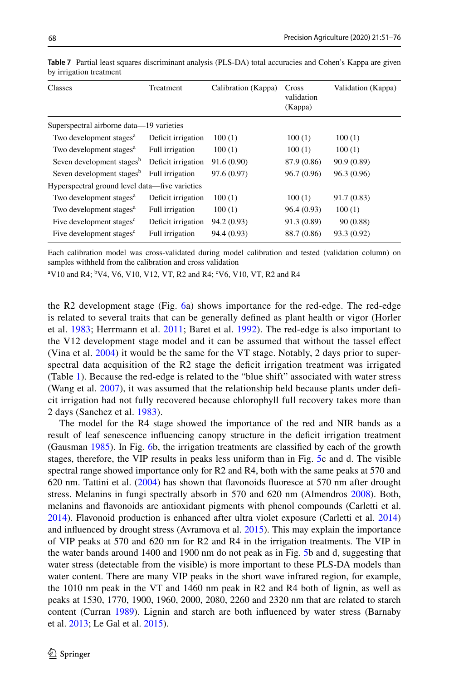| Classes                                        | Treatment          | Calibration (Kappa) | Cross<br>validation<br>(Kappa) | Validation (Kappa) |  |  |  |  |
|------------------------------------------------|--------------------|---------------------|--------------------------------|--------------------|--|--|--|--|
| Superspectral airborne data—19 varieties       |                    |                     |                                |                    |  |  |  |  |
| Two development stages <sup>a</sup>            | Deficit irrigation | 100(1)              | 100(1)                         | 100(1)             |  |  |  |  |
| Two development stages <sup>a</sup>            | Full irrigation    | 100(1)              | 100(1)                         | 100(1)             |  |  |  |  |
| Seven development stages <sup>b</sup>          | Deficit irrigation | 91.6 (0.90)         | 87.9 (0.86)                    | 90.9(0.89)         |  |  |  |  |
| Seven development stages <sup>b</sup>          | Full irrigation    | 97.6 (0.97)         | 96.7 (0.96)                    | 96.3 (0.96)        |  |  |  |  |
| Hyperspectral ground level data—five varieties |                    |                     |                                |                    |  |  |  |  |
| Two development stages <sup>a</sup>            | Deficit irrigation | 100(1)              | 100(1)                         | 91.7(0.83)         |  |  |  |  |
| Two development stages <sup>a</sup>            | Full irrigation    | 100(1)              | 96.4(0.93)                     | 100(1)             |  |  |  |  |
| Five development stages <sup>c</sup>           | Deficit irrigation | 94.2 (0.93)         | 91.3 (0.89)                    | 90(0.88)           |  |  |  |  |
| Five development stages <sup>c</sup>           | Full irrigation    | 94.4 (0.93)         | 88.7 (0.86)                    | 93.3 (0.92)        |  |  |  |  |

**Table 7** Partial least squares discriminant analysis (PLS-DA) total accuracies and Cohen's Kappa are given by irrigation treatment

Each calibration model was cross-validated during model calibration and tested (validation column) on samples withheld from the calibration and cross validation

 $\rm ^{a}V10$  and R4;  $\rm ^{b}V4$ , V6, V10, V12, VT, R2 and R4;  $\rm ^{c}V6$ , V10, VT, R2 and R4

the R2 development stage (Fig. 6a) shows importance for the red-edge. The red-edge is related to several traits that can be generally defned as plant health or vigor (Horler et al. 1983; Herrmann et al. 2011; Baret et al. 1992). The red-edge is also important to the V12 development stage model and it can be assumed that without the tassel efect (Vina et al. 2004) it would be the same for the VT stage. Notably, 2 days prior to superspectral data acquisition of the R2 stage the deficit irrigation treatment was irrigated (Table 1). Because the red-edge is related to the "blue shift" associated with water stress (Wang et al. 2007), it was assumed that the relationship held because plants under deficit irrigation had not fully recovered because chlorophyll full recovery takes more than 2 days (Sanchez et al. 1983).

The model for the R4 stage showed the importance of the red and NIR bands as a result of leaf senescence infuencing canopy structure in the defcit irrigation treatment (Gausman 1985). In Fig. 6b, the irrigation treatments are classifed by each of the growth stages, therefore, the VIP results in peaks less uniform than in Fig. 5c and d. The visible spectral range showed importance only for R2 and R4, both with the same peaks at 570 and 620 nm. Tattini et al. (2004) has shown that favonoids fuoresce at 570 nm after drought stress. Melanins in fungi spectrally absorb in 570 and 620 nm (Almendros 2008). Both, melanins and favonoids are antioxidant pigments with phenol compounds (Carletti et al. 2014). Flavonoid production is enhanced after ultra violet exposure (Carletti et al. 2014) and infuenced by drought stress (Avramova et al. 2015). This may explain the importance of VIP peaks at 570 and 620 nm for R2 and R4 in the irrigation treatments. The VIP in the water bands around 1400 and 1900 nm do not peak as in Fig. 5b and d, suggesting that water stress (detectable from the visible) is more important to these PLS-DA models than water content. There are many VIP peaks in the short wave infrared region, for example, the 1010 nm peak in the VT and 1460 nm peak in R2 and R4 both of lignin, as well as peaks at 1530, 1770, 1900, 1960, 2000, 2080, 2260 and 2320 nm that are related to starch content (Curran 1989). Lignin and starch are both infuenced by water stress (Barnaby et al. 2013; Le Gal et al. 2015).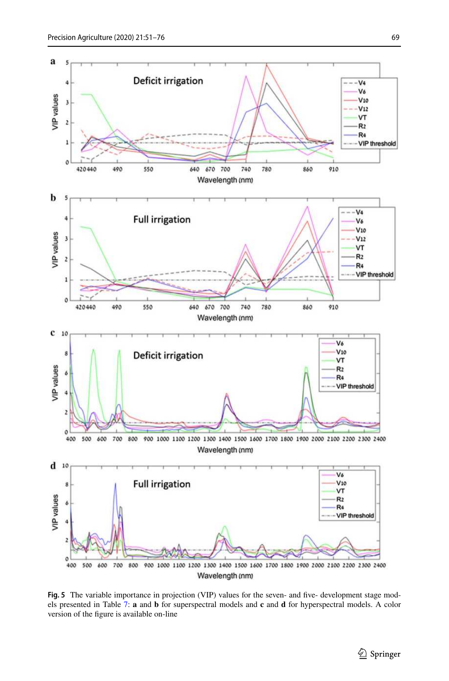

**Fig. 5** The variable importance in projection (VIP) values for the seven- and fve- development stage models presented in Table 7: **a** and **b** for superspectral models and **c** and **d** for hyperspectral models. A color version of the fgure is available on-line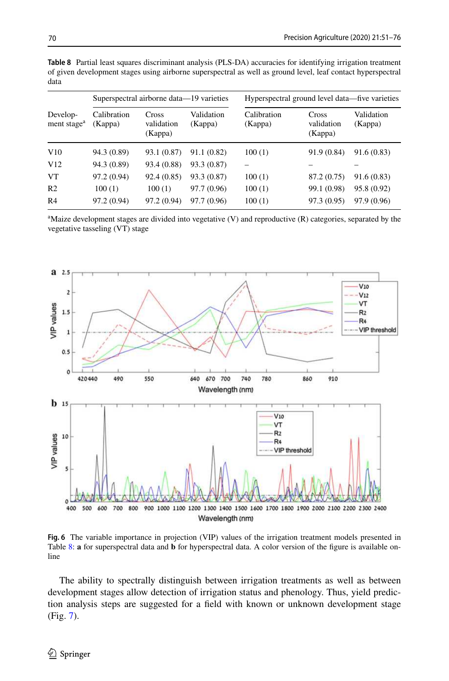|                                     |                        | Superspectral airborne data—19 varieties |                       |                        | Hyperspectral ground level data—five varieties |                       |
|-------------------------------------|------------------------|------------------------------------------|-----------------------|------------------------|------------------------------------------------|-----------------------|
| Develop-<br>ment stage <sup>a</sup> | Calibration<br>(Kappa) | Cross<br>validation<br>(Kappa)           | Validation<br>(Kappa) | Calibration<br>(Kappa) | Cross<br>validation<br>(Kappa)                 | Validation<br>(Kappa) |
| V10                                 | 94.3 (0.89)            | 93.1 (0.87)                              | 91.1 (0.82)           | 100(1)                 | 91.9(0.84)                                     | 91.6(0.83)            |
| V12                                 | 94.3 (0.89)            | 93.4 (0.88)                              | 93.3 (0.87)           |                        |                                                |                       |
| <b>VT</b>                           | 97.2 (0.94)            | 92.4(0.85)                               | 93.3 (0.87)           | 100(1)                 | 87.2 (0.75)                                    | 91.6(0.83)            |
| R <sub>2</sub>                      | 100(1)                 | 100(1)                                   | 97.7 (0.96)           | 100(1)                 | 99.1 (0.98)                                    | 95.8 (0.92)           |
| R <sub>4</sub>                      | 97.2 (0.94)            | 97.2 (0.94)                              | 97.7 (0.96)           | 100(1)                 | 97.3 (0.95)                                    | 97.9 (0.96)           |

**Table 8** Partial least squares discriminant analysis (PLS-DA) accuracies for identifying irrigation treatment of given development stages using airborne superspectral as well as ground level, leaf contact hyperspectral data

<sup>a</sup>Maize development stages are divided into vegetative (V) and reproductive (R) categories, separated by the vegetative tasseling (VT) stage



**Fig. 6** The variable importance in projection (VIP) values of the irrigation treatment models presented in Table 8: **a** for superspectral data and **b** for hyperspectral data. A color version of the fgure is available online

The ability to spectrally distinguish between irrigation treatments as well as between development stages allow detection of irrigation status and phenology. Thus, yield prediction analysis steps are suggested for a feld with known or unknown development stage (Fig. 7).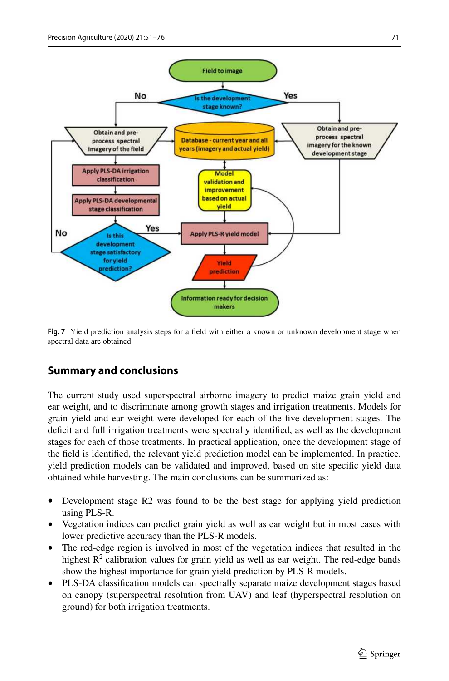

**Fig. 7** Yield prediction analysis steps for a field with either a known or unknown development stage when spectral data are obtained

# **Summary and conclusions**

The current study used superspectral airborne imagery to predict maize grain yield and ear weight, and to discriminate among growth stages and irrigation treatments. Models for grain yield and ear weight were developed for each of the fve development stages. The defcit and full irrigation treatments were spectrally identifed, as well as the development stages for each of those treatments. In practical application, once the development stage of the feld is identifed, the relevant yield prediction model can be implemented. In practice, yield prediction models can be validated and improved, based on site specifc yield data obtained while harvesting. The main conclusions can be summarized as:

- Development stage R2 was found to be the best stage for applying yield prediction using PLS-R.
- Vegetation indices can predict grain yield as well as ear weight but in most cases with lower predictive accuracy than the PLS-R models.
- The red-edge region is involved in most of the vegetation indices that resulted in the highest  $R^2$  calibration values for grain yield as well as ear weight. The red-edge bands show the highest importance for grain yield prediction by PLS-R models.
- PLS-DA classifcation models can spectrally separate maize development stages based on canopy (superspectral resolution from UAV) and leaf (hyperspectral resolution on ground) for both irrigation treatments.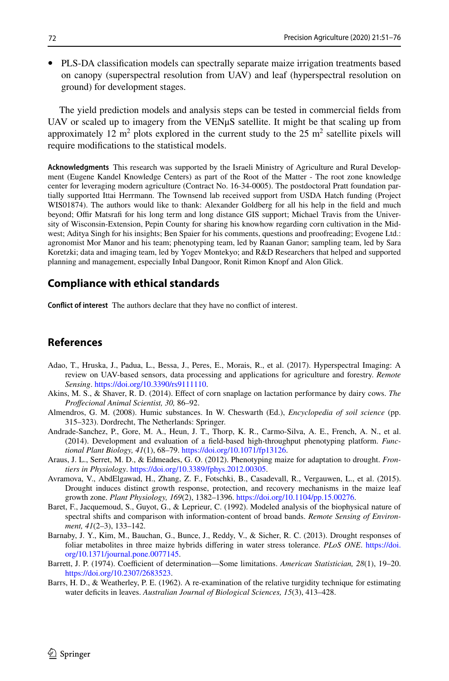• PLS-DA classifcation models can spectrally separate maize irrigation treatments based on canopy (superspectral resolution from UAV) and leaf (hyperspectral resolution on ground) for development stages.

The yield prediction models and analysis steps can be tested in commercial felds from UAV or scaled up to imagery from the VENµS satellite. It might be that scaling up from approximately 12 m<sup>2</sup> plots explored in the current study to the 25 m<sup>2</sup> satellite pixels will require modifcations to the statistical models.

**Acknowledgments** This research was supported by the Israeli Ministry of Agriculture and Rural Development (Eugene Kandel Knowledge Centers) as part of the Root of the Matter - The root zone knowledge center for leveraging modern agriculture (Contract No. 16-34-0005). The postdoctoral Pratt foundation partially supported Ittai Herrmann. The Townsend lab received support from USDA Hatch funding (Project WIS01874). The authors would like to thank: Alexander Goldberg for all his help in the feld and much beyond; Offir Matsrafi for his long term and long distance GIS support; Michael Travis from the University of Wisconsin-Extension, Pepin County for sharing his knowhow regarding corn cultivation in the Midwest; Aditya Singh for his insights; Ben Spaier for his comments, questions and proofreading; Evogene Ltd.: agronomist Mor Manor and his team; phenotyping team, led by Raanan Ganor; sampling team, led by Sara Koretzki; data and imaging team, led by Yogev Montekyo; and R&D Researchers that helped and supported planning and management, especially Inbal Dangoor, Ronit Rimon Knopf and Alon Glick.

# **Compliance with ethical standards**

**Confict of interest** The authors declare that they have no confict of interest.

# **References**

- Adao, T., Hruska, J., Padua, L., Bessa, J., Peres, E., Morais, R., et al. (2017). Hyperspectral Imaging: A review on UAV-based sensors, data processing and applications for agriculture and forestry. *Remote Sensing*. [https://doi.org/10.3390/rs9111110.](https://doi.org/10.3390/rs9111110)
- Akins, M. S., & Shaver, R. D. (2014). Efect of corn snaplage on lactation performance by dairy cows. *The Profecional Animal Scientist, 30,* 86–92.
- Almendros, G. M. (2008). Humic substances. In W. Cheswarth (Ed.), *Encyclopedia of soil science* (pp. 315–323). Dordrecht, The Netherlands: Springer.
- Andrade-Sanchez, P., Gore, M. A., Heun, J. T., Thorp, K. R., Carmo-Silva, A. E., French, A. N., et al. (2014). Development and evaluation of a feld-based high-throughput phenotyping platform. *Functional Plant Biology, 41*(1), 68–79. <https://doi.org/10.1071/fp13126>.
- Araus, J. L., Serret, M. D., & Edmeades, G. O. (2012). Phenotyping maize for adaptation to drought. *Frontiers in Physiology*. <https://doi.org/10.3389/fphys.2012.00305>.
- Avramova, V., AbdElgawad, H., Zhang, Z. F., Fotschki, B., Casadevall, R., Vergauwen, L., et al. (2015). Drought induces distinct growth response, protection, and recovery mechanisms in the maize leaf growth zone. *Plant Physiology, 169*(2), 1382–1396. [https://doi.org/10.1104/pp.15.00276.](https://doi.org/10.1104/pp.15.00276)
- Baret, F., Jacquemoud, S., Guyot, G., & Leprieur, C. (1992). Modeled analysis of the biophysical nature of spectral shifts and comparison with information-content of broad bands. *Remote Sensing of Environment, 41*(2–3), 133–142.
- Barnaby, J. Y., Kim, M., Bauchan, G., Bunce, J., Reddy, V., & Sicher, R. C. (2013). Drought responses of foliar metabolites in three maize hybrids difering in water stress tolerance. *PLoS ONE*. [https://doi.](https://doi.org/10.1371/journal.pone.0077145) [org/10.1371/journal.pone.0077145](https://doi.org/10.1371/journal.pone.0077145).
- Barrett, J. P. (1974). Coefficient of determination—Some limitations. *American Statistician*, 28(1), 19–20. <https://doi.org/10.2307/2683523>.
- Barrs, H. D., & Weatherley, P. E. (1962). A re-examination of the relative turgidity technique for estimating water defcits in leaves. *Australian Journal of Biological Sciences, 15*(3), 413–428.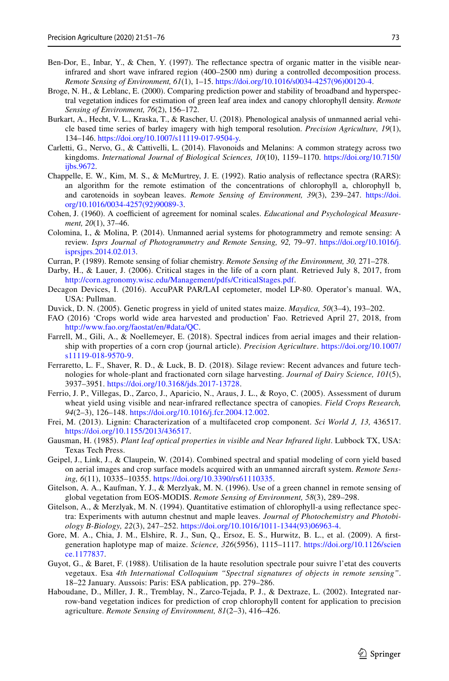- Ben-Dor, E., Inbar, Y., & Chen, Y. (1997). The reflectance spectra of organic matter in the visible nearinfrared and short wave infrared region (400–2500 nm) during a controlled decomposition process. *Remote Sensing of Environment, 61*(1), 1–15. [https://doi.org/10.1016/s0034-4257\(96\)00120-4](https://doi.org/10.1016/s0034-4257(96)00120-4).
- Broge, N. H., & Leblanc, E. (2000). Comparing prediction power and stability of broadband and hyperspectral vegetation indices for estimation of green leaf area index and canopy chlorophyll density. *Remote Sensing of Environment, 76*(2), 156–172.
- Burkart, A., Hecht, V. L., Kraska, T., & Rascher, U. (2018). Phenological analysis of unmanned aerial vehicle based time series of barley imagery with high temporal resolution. *Precision Agriculture, 19*(1), 134–146. [https://doi.org/10.1007/s11119-017-9504-y.](https://doi.org/10.1007/s11119-017-9504-y)
- Carletti, G., Nervo, G., & Cattivelli, L. (2014). Flavonoids and Melanins: A common strategy across two kingdoms. *International Journal of Biological Sciences, 10*(10), 1159–1170. [https://doi.org/10.7150/](https://doi.org/10.7150/ijbs.9672) [ijbs.9672](https://doi.org/10.7150/ijbs.9672).
- Chappelle, E. W., Kim, M. S., & McMurtrey, J. E. (1992). Ratio analysis of refectance spectra (RARS): an algorithm for the remote estimation of the concentrations of chlorophyll a, chlorophyll b, and carotenoids in soybean leaves. *Remote Sensing of Environment, 39*(3), 239–247. [https://doi.](https://doi.org/10.1016/0034-4257(92)90089-3) [org/10.1016/0034-4257\(92\)90089-3](https://doi.org/10.1016/0034-4257(92)90089-3).
- Cohen, J. (1960). A coefficient of agreement for nominal scales. *Educational and Psychological Measurement, 20*(1), 37–46.
- Colomina, I., & Molina, P. (2014). Unmanned aerial systems for photogrammetry and remote sensing: A review. *Isprs Journal of Photogrammetry and Remote Sensing, 92,* 79–97. [https://doi.org/10.1016/j.](https://doi.org/10.1016/j.isprsjprs.2014.02.013) [isprsjprs.2014.02.013.](https://doi.org/10.1016/j.isprsjprs.2014.02.013)
- Curran, P. (1989). Remote sensing of foliar chemistry. *Remote Sensing of the Environment, 30,* 271–278.
- Darby, H., & Lauer, J. (2006). Critical stages in the life of a corn plant. Retrieved July 8, 2017, from [http://corn.agronomy.wisc.edu/Management/pdfs/CriticalStages.pdf.](http://corn.agronomy.wisc.edu/Management/pdfs/CriticalStages.pdf)
- Decagon Devices, I. (2016). AccuPAR PAR/LAI ceptometer, model LP-80. Operator's manual. WA, USA: Pullman.
- Duvick, D. N. (2005). Genetic progress in yield of united states maize. *Maydica, 50*(3–4), 193–202.
- FAO (2016) 'Crops world wide area harvested and production' Fao. Retrieved April 27, 2018, from [http://www.fao.org/faostat/en/#data/QC.](http://www.fao.org/faostat/en/#data/QC)
- Farrell, M., Gili, A., & Noellemeyer, E. (2018). Spectral indices from aerial images and their relationship with properties of a corn crop (journal article). *Precision Agriculture*. [https://doi.org/10.1007/](https://doi.org/10.1007/s11119-018-9570-9) [s11119-018-9570-9.](https://doi.org/10.1007/s11119-018-9570-9)
- Ferraretto, L. F., Shaver, R. D., & Luck, B. D. (2018). Silage review: Recent advances and future technologies for whole-plant and fractionated corn silage harvesting. *Journal of Dairy Science, 101*(5), 3937–3951. [https://doi.org/10.3168/jds.2017-13728.](https://doi.org/10.3168/jds.2017-13728)
- Ferrio, J. P., Villegas, D., Zarco, J., Aparicio, N., Araus, J. L., & Royo, C. (2005). Assessment of durum wheat yield using visible and near-infrared refectance spectra of canopies. *Field Crops Research, 94*(2–3), 126–148. [https://doi.org/10.1016/j.fcr.2004.12.002.](https://doi.org/10.1016/j.fcr.2004.12.002)
- Frei, M. (2013). Lignin: Characterization of a multifaceted crop component. *Sci World J, 13,* 436517. <https://doi.org/10.1155/2013/436517>.
- Gausman, H. (1985). *Plant leaf optical properties in visible and Near Infrared light*. Lubbock TX, USA: Texas Tech Press.
- Geipel, J., Link, J., & Claupein, W. (2014). Combined spectral and spatial modeling of corn yield based on aerial images and crop surface models acquired with an unmanned aircraft system. *Remote Sensing, 6*(11), 10335–10355.<https://doi.org/10.3390/rs61110335>.
- Gitelson, A. A., Kaufman, Y. J., & Merzlyak, M. N. (1996). Use of a green channel in remote sensing of global vegetation from EOS-MODIS. *Remote Sensing of Environment, 58*(3), 289–298.
- Gitelson, A., & Merzlyak, M. N. (1994). Quantitative estimation of chlorophyll-a using refectance spectra: Experiments with autumn chestnut and maple leaves. *Journal of Photochemistry and Photobiology B-Biology, 22*(3), 247–252. [https://doi.org/10.1016/1011-1344\(93\)06963-4.](https://doi.org/10.1016/1011-1344(93)06963-4)
- Gore, M. A., Chia, J. M., Elshire, R. J., Sun, Q., Ersoz, E. S., Hurwitz, B. L., et al. (2009). A frstgeneration haplotype map of maize. *Science, 326*(5956), 1115–1117. [https://doi.org/10.1126/scien](https://doi.org/10.1126/science.1177837) [ce.1177837](https://doi.org/10.1126/science.1177837).
- Guyot, G., & Baret, F. (1988). Utilisation de la haute resolution spectrale pour suivre l'etat des couverts vegetaux. Esa *4th International Colloquium "Spectral signatures of objects in remote sensing"*. 18–22 January. Aussois: Paris: ESA pablication, pp. 279–286.
- Haboudane, D., Miller, J. R., Tremblay, N., Zarco-Tejada, P. J., & Dextraze, L. (2002). Integrated narrow-band vegetation indices for prediction of crop chlorophyll content for application to precision agriculture. *Remote Sensing of Environment, 81*(2–3), 416–426.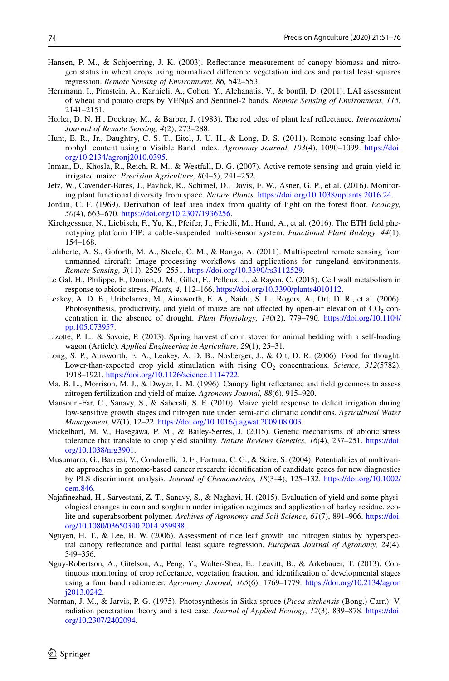- Hansen, P. M., & Schjoerring, J. K. (2003). Refectance measurement of canopy biomass and nitrogen status in wheat crops using normalized diference vegetation indices and partial least squares regression. *Remote Sensing of Environment, 86,* 542–553.
- Herrmann, I., Pimstein, A., Karnieli, A., Cohen, Y., Alchanatis, V., & bonfl, D. (2011). LAI assessment of wheat and potato crops by VENμS and Sentinel-2 bands. *Remote Sensing of Environment, 115,* 2141–2151.
- Horler, D. N. H., Dockray, M., & Barber, J. (1983). The red edge of plant leaf refectance. *International Journal of Remote Sensing, 4*(2), 273–288.
- Hunt, E. R., Jr., Daughtry, C. S. T., Eitel, J. U. H., & Long, D. S. (2011). Remote sensing leaf chlorophyll content using a Visible Band Index. *Agronomy Journal, 103*(4), 1090–1099. [https://doi.](https://doi.org/10.2134/agronj2010.0395) [org/10.2134/agronj2010.0395](https://doi.org/10.2134/agronj2010.0395).
- Inman, D., Khosla, R., Reich, R. M., & Westfall, D. G. (2007). Active remote sensing and grain yield in irrigated maize. *Precision Agriculture, 8*(4–5), 241–252.
- Jetz, W., Cavender-Bares, J., Pavlick, R., Schimel, D., Davis, F. W., Asner, G. P., et al. (2016). Monitoring plant functional diversity from space. *Nature Plants*.<https://doi.org/10.1038/nplants.2016.24>.
- Jordan, C. F. (1969). Derivation of leaf area index from quality of light on the forest foor. *Ecology, 50*(4), 663–670. [https://doi.org/10.2307/1936256.](https://doi.org/10.2307/1936256)
- Kirchgessner, N., Liebisch, F., Yu, K., Pfeifer, J., Friedli, M., Hund, A., et al. (2016). The ETH feld phenotyping platform FIP: a cable-suspended multi-sensor system. *Functional Plant Biology, 44*(1), 154–168.
- Laliberte, A. S., Goforth, M. A., Steele, C. M., & Rango, A. (2011). Multispectral remote sensing from unmanned aircraft: Image processing workfows and applications for rangeland environments. *Remote Sensing, 3*(11), 2529–2551. <https://doi.org/10.3390/rs3112529>.
- Le Gal, H., Philippe, F., Domon, J. M., Gillet, F., Pelloux, J., & Rayon, C. (2015). Cell wall metabolism in response to abiotic stress. *Plants, 4,* 112–166. <https://doi.org/10.3390/plants4010112>.
- Leakey, A. D. B., Uribelarrea, M., Ainsworth, E. A., Naidu, S. L., Rogers, A., Ort, D. R., et al. (2006). Photosynthesis, productivity, and yield of maize are not affected by open-air elevation of  $CO<sub>2</sub>$  concentration in the absence of drought. *Plant Physiology, 140*(2), 779–790. [https://doi.org/10.1104/](https://doi.org/10.1104/pp.105.073957) [pp.105.073957.](https://doi.org/10.1104/pp.105.073957)
- Lizotte, P. L., & Savoie, P. (2013). Spring harvest of corn stover for animal bedding with a self-loading wagon (Article). *Applied Engineering in Agriculture, 29*(1), 25–31.
- Long, S. P., Ainsworth, E. A., Leakey, A. D. B., Nosberger, J., & Ort, D. R. (2006). Food for thought: Lower-than-expected crop yield stimulation with rising CO<sub>2</sub> concentrations. *Science*, 312(5782), 1918–1921. [https://doi.org/10.1126/science.1114722.](https://doi.org/10.1126/science.1114722)
- Ma, B. L., Morrison, M. J., & Dwyer, L. M. (1996). Canopy light refectance and feld greenness to assess nitrogen fertilization and yield of maize. *Agronomy Journal, 88*(6), 915–920.
- Mansouri-Far, C., Sanavy, S., & Saberali, S. F. (2010). Maize yield response to defcit irrigation during low-sensitive growth stages and nitrogen rate under semi-arid climatic conditions. *Agricultural Water Management, 97*(1), 12–22. <https://doi.org/10.1016/j.agwat.2009.08.003>.
- Mickelbart, M. V., Hasegawa, P. M., & Bailey-Serres, J. (2015). Genetic mechanisms of abiotic stress tolerance that translate to crop yield stability. *Nature Reviews Genetics, 16*(4), 237–251. [https://doi.](https://doi.org/10.1038/nrg3901) [org/10.1038/nrg3901](https://doi.org/10.1038/nrg3901).
- Musumarra, G., Barresi, V., Condorelli, D. F., Fortuna, C. G., & Scire, S. (2004). Potentialities of multivariate approaches in genome-based cancer research: identifcation of candidate genes for new diagnostics by PLS discriminant analysis. *Journal of Chemometrics, 18*(3–4), 125–132. [https://doi.org/10.1002/](https://doi.org/10.1002/cem.846) [cem.846](https://doi.org/10.1002/cem.846).
- Najafnezhad, H., Sarvestani, Z. T., Sanavy, S., & Naghavi, H. (2015). Evaluation of yield and some physiological changes in corn and sorghum under irrigation regimes and application of barley residue, zeolite and superabsorbent polymer. *Archives of Agronomy and Soil Science, 61*(7), 891–906. [https://doi.](https://doi.org/10.1080/03650340.2014.959938) [org/10.1080/03650340.2014.959938.](https://doi.org/10.1080/03650340.2014.959938)
- Nguyen, H. T., & Lee, B. W. (2006). Assessment of rice leaf growth and nitrogen status by hyperspectral canopy refectance and partial least square regression. *European Journal of Agronomy, 24*(4), 349–356.
- Nguy-Robertson, A., Gitelson, A., Peng, Y., Walter-Shea, E., Leavitt, B., & Arkebauer, T. (2013). Continuous monitoring of crop refectance, vegetation fraction, and identifcation of developmental stages using a four band radiometer. *Agronomy Journal, 105*(6), 1769–1779. [https://doi.org/10.2134/agron](https://doi.org/10.2134/agronj2013.0242) [j2013.0242](https://doi.org/10.2134/agronj2013.0242).
- Norman, J. M., & Jarvis, P. G. (1975). Photosynthesis in Sitka spruce (*Picea sitchensis* (Bong.) Carr.): V. radiation penetration theory and a test case. *Journal of Applied Ecology, 12*(3), 839–878. [https://doi.](https://doi.org/10.2307/2402094) [org/10.2307/2402094.](https://doi.org/10.2307/2402094)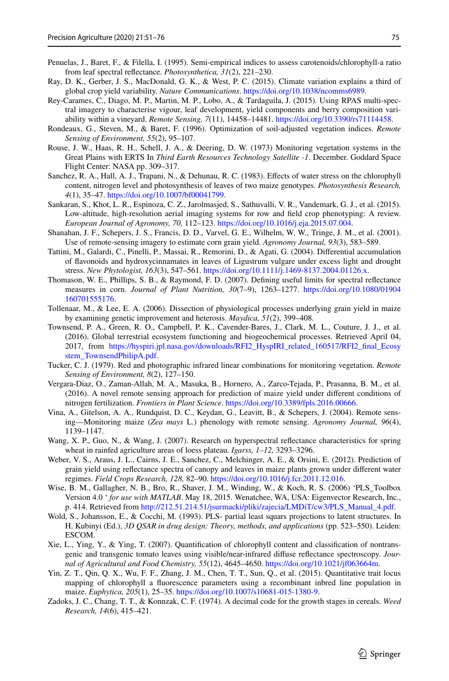- Penuelas, J., Baret, F., & Filella, I. (1995). Semi-empirical indices to assess carotenoids/chlorophyll-a ratio from leaf spectral refectance. *Photosynthetica, 31*(2), 221–230.
- Ray, D. K., Gerber, J. S., MacDonald, G. K., & West, P. C. (2015). Climate variation explains a third of global crop yield variability. *Nature Communications*. [https://doi.org/10.1038/ncomms6989.](https://doi.org/10.1038/ncomms6989)
- Rey-Carames, C., Diago, M. P., Martin, M. P., Lobo, A., & Tardaguila, J. (2015). Using RPAS multi-spectral imagery to characterise vigour, leaf development, yield components and berry composition variability within a vineyard. *Remote Sensing, 7*(11), 14458–14481. <https://doi.org/10.3390/rs71114458>.
- Rondeaux, G., Steven, M., & Baret, F. (1996). Optimization of soil-adjusted vegetation indices. *Remote Sensing of Environment, 55*(2), 95–107.
- Rouse, J. W., Haas, R. H., Schell, J. A., & Deering, D. W. (1973) Monitoring vegetation systems in the Great Plains with ERTS In *Third Earth Resources Technology Satellite* -*1*. December. Goddard Space Flight Center: NASA pp. 309–317.
- Sanchez, R. A., Hall, A. J., Trapani, N., & Dehunau, R. C. (1983). Efects of water stress on the chlorophyll content, nitrogen level and photosynthesis of leaves of two maize genotypes. *Photosynthesis Research, 4*(1), 35–47.<https://doi.org/10.1007/bf00041799>.
- Sankaran, S., Khot, L. R., Espinoza, C. Z., Jarolmasjed, S., Sathuvalli, V. R., Vandemark, G. J., et al. (2015). Low-altitude, high-resolution aerial imaging systems for row and feld crop phenotyping: A review. *European Journal of Agronomy, 70,* 112–123. [https://doi.org/10.1016/j.eja.2015.07.004.](https://doi.org/10.1016/j.eja.2015.07.004)
- Shanahan, J. F., Schepers, J. S., Francis, D. D., Varvel, G. E., Wilhelm, W. W., Tringe, J. M., et al. (2001). Use of remote-sensing imagery to estimate corn grain yield. *Agronomy Journal, 93*(3), 583–589.
- Tattini, M., Galardi, C., Pinelli, P., Massai, R., Remorini, D., & Agati, G. (2004). Diferential accumulation of favonoids and hydroxycinnamates in leaves of Ligustrum vulgare under excess light and drought stress. *New Phytologist, 163*(3), 547–561. [https://doi.org/10.1111/j.1469-8137.2004.01126.x.](https://doi.org/10.1111/j.1469-8137.2004.01126.x)
- Thomason, W. E., Phillips, S. B., & Raymond, F. D. (2007). Defning useful limits for spectral refectance measures in corn. *Journal of Plant Nutrition, 30*(7–9), 1263–1277. [https://doi.org/10.1080/01904](https://doi.org/10.1080/01904160701555176) [160701555176.](https://doi.org/10.1080/01904160701555176)
- Tollenaar, M., & Lee, E. A. (2006). Dissection of physiological processes underlying grain yield in maize by examining genetic improvement and heterosis. *Maydica, 51*(2), 399–408.
- Townsend, P. A., Green, R. O., Campbell, P. K., Cavender-Bares, J., Clark, M. L., Couture, J. J., et al. (2016). Global terrestrial ecosystem functioning and biogeochemical processes. Retrieved April 04, 2017, from [https://hyspiri.jpl.nasa.gov/downloads/RFI2\\_HyspIRI\\_related\\_160517/RFI2\\_fnal\\_Ecosy](https://hyspiri.jpl.nasa.gov/downloads/RFI2_HyspIRI_related_160517/RFI2_final_Ecosystem_TownsendPhilipA.pdf) [stem\\_TownsendPhilipA.pdf](https://hyspiri.jpl.nasa.gov/downloads/RFI2_HyspIRI_related_160517/RFI2_final_Ecosystem_TownsendPhilipA.pdf).
- Tucker, C. J. (1979). Red and photographic infrared linear combinations for monitoring vegetation. *Remote Sensing of Environment, 8*(2), 127–150.
- Vergara-Diaz, O., Zaman-Allah, M. A., Masuka, B., Hornero, A., Zarco-Tejada, P., Prasanna, B. M., et al. (2016). A novel remote sensing approach for prediction of maize yield under diferent conditions of nitrogen fertilization. *Frontiers in Plant Science*.<https://doi.org/10.3389/fpls.2016.00666>.
- Vina, A., Gitelson, A. A., Rundquist, D. C., Keydan, G., Leavitt, B., & Schepers, J. (2004). Remote sensing—Monitoring maize (*Zea mays* L.) phenology with remote sensing. *Agronomy Journal, 96*(4), 1139–1147.
- Wang, X. P., Guo, N., & Wang, J. (2007). Research on hyperspectral refectance characteristics for spring wheat in rainfed agriculture areas of loess plateau. *Igarss, 1–12,* 3293–3296.
- Weber, V. S., Araus, J. L., Cairns, J. E., Sanchez, C., Melchinger, A. E., & Orsini, E. (2012). Prediction of grain yield using refectance spectra of canopy and leaves in maize plants grown under diferent water regimes. *Field Crops Research, 128,* 82–90.<https://doi.org/10.1016/j.fcr.2011.12.016>.
- Wise, B. M., Gallagher, N. B., Bro, R., Shaver, J. M., Winding, W., & Koch, R. S. (2006) 'PLS\_Toolbox Version 4.0 ' *for use with MATLAB*. May 18, 2015. Wenatchee, WA, USA: Eigenvector Research, Inc., p. 414. Retrieved from [http://212.51.214.51/jsurmacki/pliki/zajecia/LMDiT/cw3/PLS\\_Manual\\_4.pdf.](http://212.51.214.51/jsurmacki/pliki/zajecia/LMDiT/cw3/PLS_Manual_4.pdf)
- Wold, S., Johansson, E., & Cocchi, M. (1993). PLS- partial least squars projections to latent structures. In H. Kubinyi (Ed.), *3D QSAR in drug design: Theory, methods, and applications* (pp. 523–550). Leiden: ESCOM.
- Xie, L., Ying, Y., & Ying, T. (2007). Quantifcation of chlorophyll content and classifcation of nontransgenic and transgenic tomato leaves using visible/near-infrared difuse refectance spectroscopy. *Journal of Agricultural and Food Chemistry, 55*(12), 4645–4650. <https://doi.org/10.1021/jf063664m>.
- Yin, Z. T., Qin, Q. X., Wu, F. F., Zhang, J. M., Chen, T. T., Sun, Q., et al. (2015). Quantitative trait locus mapping of chlorophyll a fuorescence parameters using a recombinant inbred line population in maize. *Euphytica, 205*(1), 25–35. <https://doi.org/10.1007/s10681-015-1380-9>.
- Zadoks, J. C., Chang, T. T., & Konnzak, C. F. (1974). A decimal code for the growth stages in cereals. *Weed Research, 14*(6), 415–421.